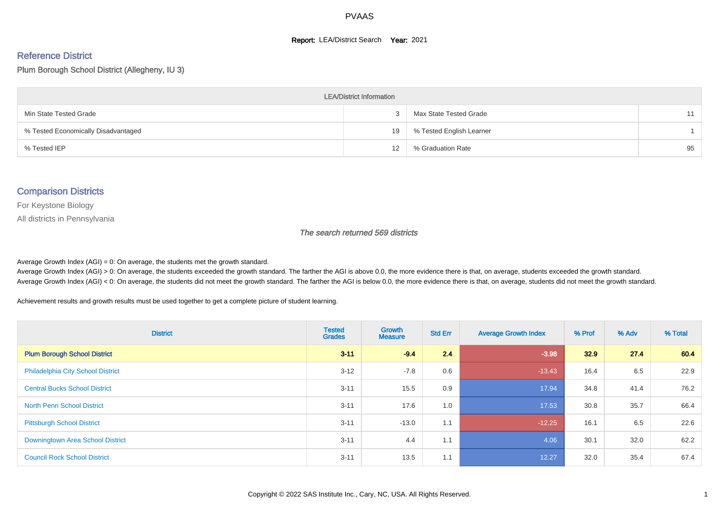#### **Report: LEA/District Search Year: 2021**

#### Reference District

Plum Borough School District (Allegheny, IU 3)

| <b>LEA/District Information</b>     |    |                          |    |  |  |  |  |  |  |  |
|-------------------------------------|----|--------------------------|----|--|--|--|--|--|--|--|
| Min State Tested Grade              |    | Max State Tested Grade   | 11 |  |  |  |  |  |  |  |
| % Tested Economically Disadvantaged | 19 | % Tested English Learner |    |  |  |  |  |  |  |  |
| % Tested IEP                        | 12 | % Graduation Rate        | 95 |  |  |  |  |  |  |  |

#### Comparison Districts

For Keystone Biology

All districts in Pennsylvania

The search returned 569 districts

Average Growth Index  $(AGI) = 0$ : On average, the students met the growth standard.

Average Growth Index (AGI) > 0: On average, the students exceeded the growth standard. The farther the AGI is above 0.0, the more evidence there is that, on average, students exceeded the growth standard. Average Growth Index (AGI) < 0: On average, the students did not meet the growth standard. The farther the AGI is below 0.0, the more evidence there is that, on average, students did not meet the growth standard.

Achievement results and growth results must be used together to get a complete picture of student learning.

| <b>District</b>                          | <b>Tested</b><br><b>Grades</b> | <b>Growth</b><br><b>Measure</b> | <b>Std Err</b> | <b>Average Growth Index</b> | % Prof | % Adv | % Total |
|------------------------------------------|--------------------------------|---------------------------------|----------------|-----------------------------|--------|-------|---------|
| <b>Plum Borough School District</b>      | $3 - 11$                       | $-9.4$                          | 2.4            | $-3.98$                     | 32.9   | 27.4  | 60.4    |
| <b>Philadelphia City School District</b> | $3 - 12$                       | $-7.8$                          | 0.6            | $-13.43$                    | 16.4   | 6.5   | 22.9    |
| <b>Central Bucks School District</b>     | $3 - 11$                       | 15.5                            | 0.9            | 17.94                       | 34.8   | 41.4  | 76.2    |
| <b>North Penn School District</b>        | $3 - 11$                       | 17.6                            | 1.0            | 17.53                       | 30.8   | 35.7  | 66.4    |
| <b>Pittsburgh School District</b>        | $3 - 11$                       | $-13.0$                         | 1.1            | $-12.25$                    | 16.1   | 6.5   | 22.6    |
| Downingtown Area School District         | $3 - 11$                       | 4.4                             | 1.1            | 4.06                        | 30.1   | 32.0  | 62.2    |
| <b>Council Rock School District</b>      | $3 - 11$                       | 13.5                            | 1.1            | 12.27                       | 32.0   | 35.4  | 67.4    |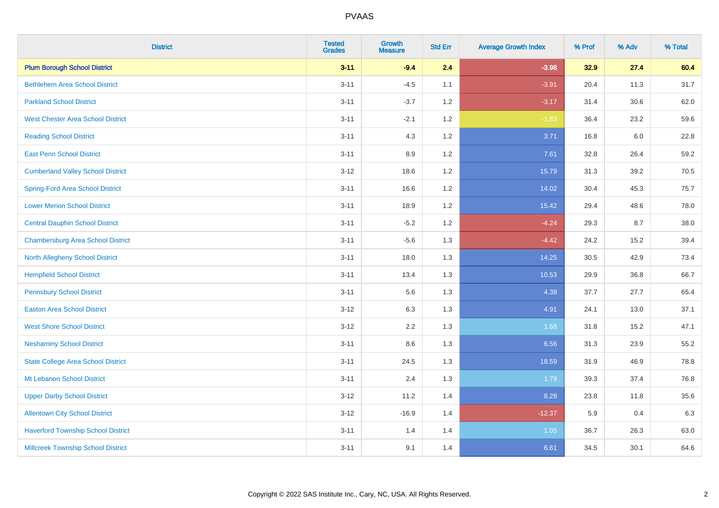| <b>District</b>                           | <b>Tested</b><br><b>Grades</b> | <b>Growth</b><br><b>Measure</b> | <b>Std Err</b> | <b>Average Growth Index</b> | % Prof | % Adv | % Total |
|-------------------------------------------|--------------------------------|---------------------------------|----------------|-----------------------------|--------|-------|---------|
| <b>Plum Borough School District</b>       | $3 - 11$                       | $-9.4$                          | 2.4            | $-3.98$                     | 32.9   | 27.4  | 60.4    |
| <b>Bethlehem Area School District</b>     | $3 - 11$                       | $-4.5$                          | 1.1            | $-3.91$                     | 20.4   | 11.3  | 31.7    |
| <b>Parkland School District</b>           | $3 - 11$                       | $-3.7$                          | 1.2            | $-3.17$                     | 31.4   | 30.6  | 62.0    |
| <b>West Chester Area School District</b>  | $3 - 11$                       | $-2.1$                          | 1.2            | $-1.83$                     | 36.4   | 23.2  | 59.6    |
| <b>Reading School District</b>            | $3 - 11$                       | 4.3                             | 1.2            | 3.71                        | 16.8   | 6.0   | 22.8    |
| <b>East Penn School District</b>          | $3 - 11$                       | 8.9                             | 1.2            | 7.61                        | 32.8   | 26.4  | 59.2    |
| <b>Cumberland Valley School District</b>  | $3 - 12$                       | 18.6                            | 1.2            | 15.79                       | 31.3   | 39.2  | 70.5    |
| <b>Spring-Ford Area School District</b>   | $3 - 11$                       | 16.6                            | 1.2            | 14.02                       | 30.4   | 45.3  | 75.7    |
| <b>Lower Merion School District</b>       | $3 - 11$                       | 18.9                            | 1.2            | 15.42                       | 29.4   | 48.6  | 78.0    |
| <b>Central Dauphin School District</b>    | $3 - 11$                       | $-5.2$                          | 1.2            | $-4.24$                     | 29.3   | 8.7   | 38.0    |
| <b>Chambersburg Area School District</b>  | $3 - 11$                       | $-5.6$                          | 1.3            | $-4.42$                     | 24.2   | 15.2  | 39.4    |
| <b>North Allegheny School District</b>    | $3 - 11$                       | 18.0                            | 1.3            | 14.25                       | 30.5   | 42.9  | 73.4    |
| <b>Hempfield School District</b>          | $3 - 11$                       | 13.4                            | 1.3            | 10.53                       | 29.9   | 36.8  | 66.7    |
| <b>Pennsbury School District</b>          | $3 - 11$                       | 5.6                             | 1.3            | 4.38                        | 37.7   | 27.7  | 65.4    |
| <b>Easton Area School District</b>        | $3-12$                         | 6.3                             | 1.3            | 4.91                        | 24.1   | 13.0  | 37.1    |
| <b>West Shore School District</b>         | $3 - 12$                       | 2.2                             | 1.3            | 1.68                        | 31.8   | 15.2  | 47.1    |
| <b>Neshaminy School District</b>          | $3 - 11$                       | 8.6                             | 1.3            | 6.56                        | 31.3   | 23.9  | 55.2    |
| <b>State College Area School District</b> | $3 - 11$                       | 24.5                            | 1.3            | 18.59                       | 31.9   | 46.9  | 78.8    |
| Mt Lebanon School District                | $3 - 11$                       | 2.4                             | 1.3            | 1.79                        | 39.3   | 37.4  | 76.8    |
| <b>Upper Darby School District</b>        | $3 - 12$                       | 11.2                            | 1.4            | 8.28                        | 23.8   | 11.8  | 35.6    |
| <b>Allentown City School District</b>     | $3 - 12$                       | $-16.9$                         | 1.4            | $-12.37$                    | 5.9    | 0.4   | 6.3     |
| <b>Haverford Township School District</b> | $3 - 11$                       | 1.4                             | 1.4            | 1.05                        | 36.7   | 26.3  | 63.0    |
| <b>Millcreek Township School District</b> | $3 - 11$                       | 9.1                             | 1.4            | 6.61                        | 34.5   | 30.1  | 64.6    |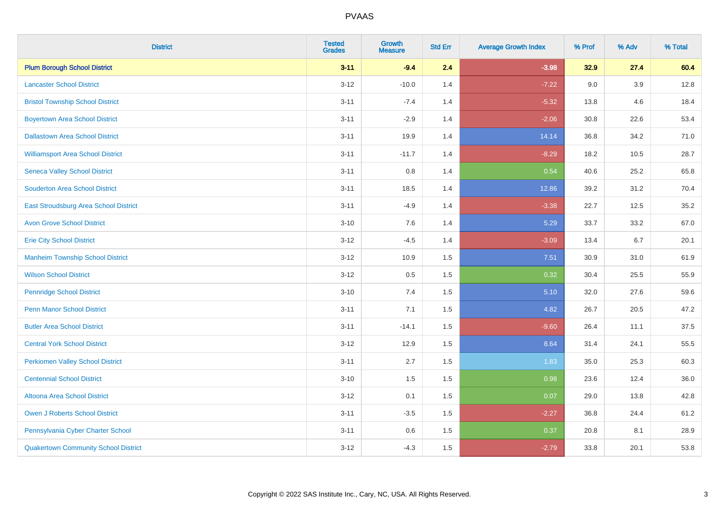| <b>District</b>                             | <b>Tested</b><br><b>Grades</b> | Growth<br><b>Measure</b> | <b>Std Err</b> | <b>Average Growth Index</b> | % Prof | % Adv | % Total |
|---------------------------------------------|--------------------------------|--------------------------|----------------|-----------------------------|--------|-------|---------|
| <b>Plum Borough School District</b>         | $3 - 11$                       | $-9.4$                   | 2.4            | $-3.98$                     | 32.9   | 27.4  | 60.4    |
| <b>Lancaster School District</b>            | $3 - 12$                       | $-10.0$                  | 1.4            | $-7.22$                     | 9.0    | 3.9   | 12.8    |
| <b>Bristol Township School District</b>     | $3 - 11$                       | $-7.4$                   | 1.4            | $-5.32$                     | 13.8   | 4.6   | 18.4    |
| <b>Boyertown Area School District</b>       | $3 - 11$                       | $-2.9$                   | 1.4            | $-2.06$                     | 30.8   | 22.6  | 53.4    |
| <b>Dallastown Area School District</b>      | $3 - 11$                       | 19.9                     | 1.4            | 14.14                       | 36.8   | 34.2  | 71.0    |
| <b>Williamsport Area School District</b>    | $3 - 11$                       | $-11.7$                  | 1.4            | $-8.29$                     | 18.2   | 10.5  | 28.7    |
| <b>Seneca Valley School District</b>        | $3 - 11$                       | $0.8\,$                  | 1.4            | 0.54                        | 40.6   | 25.2  | 65.8    |
| <b>Souderton Area School District</b>       | $3 - 11$                       | 18.5                     | 1.4            | 12.86                       | 39.2   | 31.2  | 70.4    |
| East Stroudsburg Area School District       | $3 - 11$                       | $-4.9$                   | 1.4            | $-3.38$                     | 22.7   | 12.5  | 35.2    |
| <b>Avon Grove School District</b>           | $3 - 10$                       | 7.6                      | 1.4            | 5.29                        | 33.7   | 33.2  | 67.0    |
| <b>Erie City School District</b>            | $3-12$                         | $-4.5$                   | 1.4            | $-3.09$                     | 13.4   | 6.7   | 20.1    |
| <b>Manheim Township School District</b>     | $3 - 12$                       | 10.9                     | 1.5            | 7.51                        | 30.9   | 31.0  | 61.9    |
| <b>Wilson School District</b>               | $3 - 12$                       | 0.5                      | 1.5            | 0.32                        | 30.4   | 25.5  | 55.9    |
| <b>Pennridge School District</b>            | $3 - 10$                       | 7.4                      | 1.5            | 5.10                        | 32.0   | 27.6  | 59.6    |
| <b>Penn Manor School District</b>           | $3 - 11$                       | 7.1                      | 1.5            | 4.82                        | 26.7   | 20.5  | 47.2    |
| <b>Butler Area School District</b>          | $3 - 11$                       | $-14.1$                  | 1.5            | $-9.60$                     | 26.4   | 11.1  | 37.5    |
| <b>Central York School District</b>         | $3 - 12$                       | 12.9                     | 1.5            | 8.64                        | 31.4   | 24.1  | 55.5    |
| <b>Perkiomen Valley School District</b>     | $3 - 11$                       | 2.7                      | 1.5            | 1.83                        | 35.0   | 25.3  | 60.3    |
| <b>Centennial School District</b>           | $3 - 10$                       | 1.5                      | 1.5            | 0.98                        | 23.6   | 12.4  | 36.0    |
| Altoona Area School District                | $3 - 12$                       | 0.1                      | 1.5            | 0.07                        | 29.0   | 13.8  | 42.8    |
| Owen J Roberts School District              | $3 - 11$                       | $-3.5$                   | 1.5            | $-2.27$                     | 36.8   | 24.4  | 61.2    |
| Pennsylvania Cyber Charter School           | $3 - 11$                       | 0.6                      | 1.5            | 0.37                        | 20.8   | 8.1   | 28.9    |
| <b>Quakertown Community School District</b> | $3 - 12$                       | $-4.3$                   | 1.5            | $-2.79$                     | 33.8   | 20.1  | 53.8    |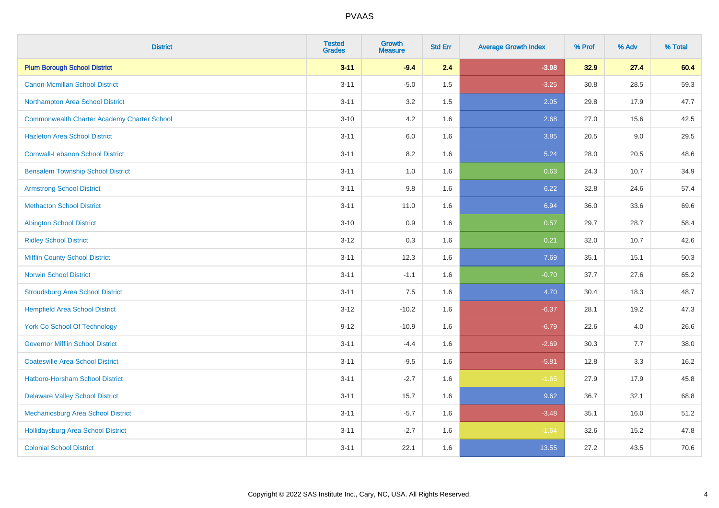| <b>District</b>                                    | <b>Tested</b><br><b>Grades</b> | Growth<br><b>Measure</b> | <b>Std Err</b> | <b>Average Growth Index</b> | % Prof | % Adv | % Total |
|----------------------------------------------------|--------------------------------|--------------------------|----------------|-----------------------------|--------|-------|---------|
| <b>Plum Borough School District</b>                | $3 - 11$                       | $-9.4$                   | 2.4            | $-3.98$                     | 32.9   | 27.4  | 60.4    |
| <b>Canon-Mcmillan School District</b>              | $3 - 11$                       | $-5.0$                   | 1.5            | $-3.25$                     | 30.8   | 28.5  | 59.3    |
| Northampton Area School District                   | $3 - 11$                       | 3.2                      | 1.5            | 2.05                        | 29.8   | 17.9  | 47.7    |
| <b>Commonwealth Charter Academy Charter School</b> | $3 - 10$                       | 4.2                      | 1.6            | 2.68                        | 27.0   | 15.6  | 42.5    |
| <b>Hazleton Area School District</b>               | $3 - 11$                       | 6.0                      | 1.6            | 3.85                        | 20.5   | 9.0   | 29.5    |
| <b>Cornwall-Lebanon School District</b>            | $3 - 11$                       | 8.2                      | 1.6            | 5.24                        | 28.0   | 20.5  | 48.6    |
| <b>Bensalem Township School District</b>           | $3 - 11$                       | 1.0                      | 1.6            | 0.63                        | 24.3   | 10.7  | 34.9    |
| <b>Armstrong School District</b>                   | $3 - 11$                       | $9.8\,$                  | 1.6            | 6.22                        | 32.8   | 24.6  | 57.4    |
| <b>Methacton School District</b>                   | $3 - 11$                       | 11.0                     | 1.6            | 6.94                        | 36.0   | 33.6  | 69.6    |
| <b>Abington School District</b>                    | $3 - 10$                       | 0.9                      | 1.6            | 0.57                        | 29.7   | 28.7  | 58.4    |
| <b>Ridley School District</b>                      | $3 - 12$                       | 0.3                      | 1.6            | 0.21                        | 32.0   | 10.7  | 42.6    |
| <b>Mifflin County School District</b>              | $3 - 11$                       | 12.3                     | 1.6            | 7.69                        | 35.1   | 15.1  | 50.3    |
| <b>Norwin School District</b>                      | $3 - 11$                       | $-1.1$                   | 1.6            | $-0.70$                     | 37.7   | 27.6  | 65.2    |
| <b>Stroudsburg Area School District</b>            | $3 - 11$                       | 7.5                      | 1.6            | 4.70                        | 30.4   | 18.3  | 48.7    |
| <b>Hempfield Area School District</b>              | $3 - 12$                       | $-10.2$                  | 1.6            | $-6.37$                     | 28.1   | 19.2  | 47.3    |
| <b>York Co School Of Technology</b>                | $9 - 12$                       | $-10.9$                  | 1.6            | $-6.79$                     | 22.6   | 4.0   | 26.6    |
| <b>Governor Mifflin School District</b>            | $3 - 11$                       | $-4.4$                   | 1.6            | $-2.69$                     | 30.3   | 7.7   | 38.0    |
| <b>Coatesville Area School District</b>            | $3 - 11$                       | $-9.5$                   | 1.6            | $-5.81$                     | 12.8   | 3.3   | 16.2    |
| <b>Hatboro-Horsham School District</b>             | $3 - 11$                       | $-2.7$                   | 1.6            | $-1.65$                     | 27.9   | 17.9  | 45.8    |
| <b>Delaware Valley School District</b>             | $3 - 11$                       | 15.7                     | 1.6            | 9.62                        | 36.7   | 32.1  | 68.8    |
| Mechanicsburg Area School District                 | $3 - 11$                       | $-5.7$                   | 1.6            | $-3.48$                     | 35.1   | 16.0  | 51.2    |
| <b>Hollidaysburg Area School District</b>          | $3 - 11$                       | $-2.7$                   | 1.6            | $-1.64$                     | 32.6   | 15.2  | 47.8    |
| <b>Colonial School District</b>                    | $3 - 11$                       | 22.1                     | 1.6            | 13.55                       | 27.2   | 43.5  | 70.6    |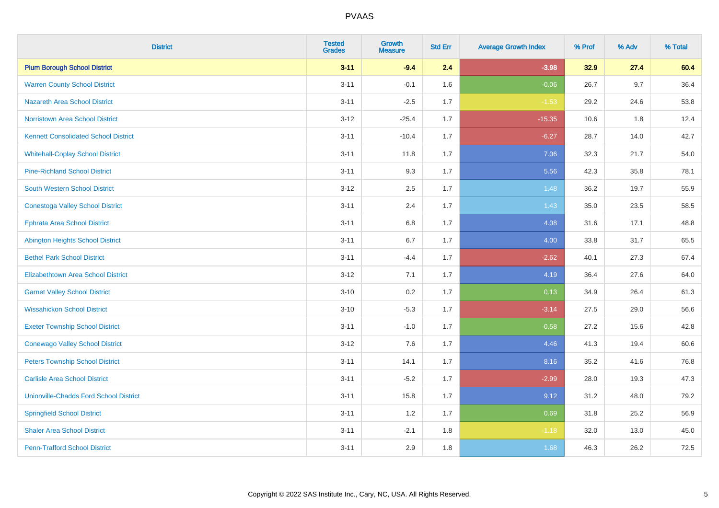| <b>District</b>                               | <b>Tested</b><br><b>Grades</b> | Growth<br><b>Measure</b> | <b>Std Err</b> | <b>Average Growth Index</b> | % Prof | % Adv   | % Total |
|-----------------------------------------------|--------------------------------|--------------------------|----------------|-----------------------------|--------|---------|---------|
| <b>Plum Borough School District</b>           | $3 - 11$                       | $-9.4$                   | 2.4            | $-3.98$                     | 32.9   | 27.4    | 60.4    |
| <b>Warren County School District</b>          | $3 - 11$                       | $-0.1$                   | 1.6            | $-0.06$                     | 26.7   | 9.7     | 36.4    |
| <b>Nazareth Area School District</b>          | $3 - 11$                       | $-2.5$                   | 1.7            | $-1.53$                     | 29.2   | 24.6    | 53.8    |
| Norristown Area School District               | $3-12$                         | $-25.4$                  | 1.7            | $-15.35$                    | 10.6   | $1.8\,$ | 12.4    |
| <b>Kennett Consolidated School District</b>   | $3 - 11$                       | $-10.4$                  | 1.7            | $-6.27$                     | 28.7   | 14.0    | 42.7    |
| <b>Whitehall-Coplay School District</b>       | $3 - 11$                       | 11.8                     | 1.7            | 7.06                        | 32.3   | 21.7    | 54.0    |
| <b>Pine-Richland School District</b>          | $3 - 11$                       | 9.3                      | 1.7            | 5.56                        | 42.3   | 35.8    | 78.1    |
| <b>South Western School District</b>          | $3 - 12$                       | 2.5                      | 1.7            | 1.48                        | 36.2   | 19.7    | 55.9    |
| <b>Conestoga Valley School District</b>       | $3 - 11$                       | 2.4                      | 1.7            | 1.43                        | 35.0   | 23.5    | 58.5    |
| <b>Ephrata Area School District</b>           | $3 - 11$                       | 6.8                      | 1.7            | 4.08                        | 31.6   | 17.1    | 48.8    |
| <b>Abington Heights School District</b>       | $3 - 11$                       | 6.7                      | 1.7            | 4.00                        | 33.8   | 31.7    | 65.5    |
| <b>Bethel Park School District</b>            | $3 - 11$                       | $-4.4$                   | 1.7            | $-2.62$                     | 40.1   | 27.3    | 67.4    |
| Elizabethtown Area School District            | $3 - 12$                       | 7.1                      | 1.7            | 4.19                        | 36.4   | 27.6    | 64.0    |
| <b>Garnet Valley School District</b>          | $3 - 10$                       | 0.2                      | 1.7            | 0.13                        | 34.9   | 26.4    | 61.3    |
| <b>Wissahickon School District</b>            | $3 - 10$                       | $-5.3$                   | 1.7            | $-3.14$                     | 27.5   | 29.0    | 56.6    |
| <b>Exeter Township School District</b>        | $3 - 11$                       | $-1.0$                   | 1.7            | $-0.58$                     | 27.2   | 15.6    | 42.8    |
| <b>Conewago Valley School District</b>        | $3 - 12$                       | 7.6                      | 1.7            | 4.46                        | 41.3   | 19.4    | 60.6    |
| <b>Peters Township School District</b>        | $3 - 11$                       | 14.1                     | 1.7            | 8.16                        | 35.2   | 41.6    | 76.8    |
| <b>Carlisle Area School District</b>          | $3 - 11$                       | $-5.2$                   | 1.7            | $-2.99$                     | 28.0   | 19.3    | 47.3    |
| <b>Unionville-Chadds Ford School District</b> | $3 - 11$                       | 15.8                     | 1.7            | 9.12                        | 31.2   | 48.0    | 79.2    |
| <b>Springfield School District</b>            | $3 - 11$                       | 1.2                      | 1.7            | 0.69                        | 31.8   | 25.2    | 56.9    |
| <b>Shaler Area School District</b>            | $3 - 11$                       | $-2.1$                   | 1.8            | $-1.18$                     | 32.0   | 13.0    | 45.0    |
| <b>Penn-Trafford School District</b>          | $3 - 11$                       | 2.9                      | 1.8            | 1.68                        | 46.3   | 26.2    | 72.5    |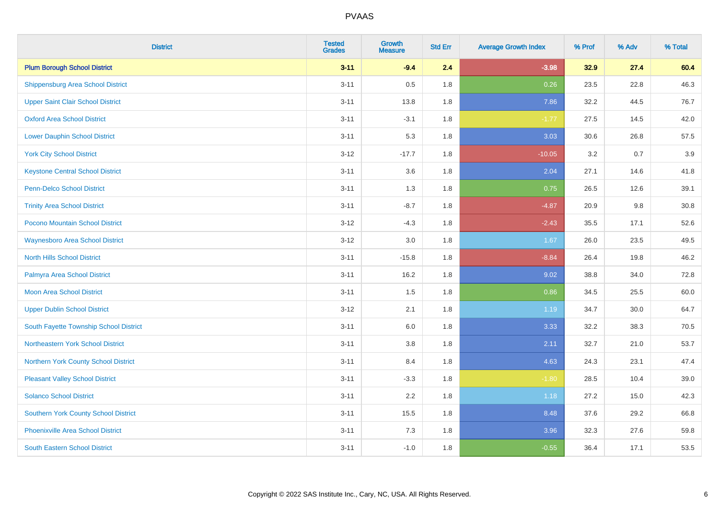| <b>District</b>                             | <b>Tested</b><br><b>Grades</b> | Growth<br><b>Measure</b> | <b>Std Err</b> | <b>Average Growth Index</b> | % Prof | % Adv | % Total |
|---------------------------------------------|--------------------------------|--------------------------|----------------|-----------------------------|--------|-------|---------|
| <b>Plum Borough School District</b>         | $3 - 11$                       | $-9.4$                   | 2.4            | $-3.98$                     | 32.9   | 27.4  | 60.4    |
| <b>Shippensburg Area School District</b>    | $3 - 11$                       | 0.5                      | 1.8            | 0.26                        | 23.5   | 22.8  | 46.3    |
| <b>Upper Saint Clair School District</b>    | $3 - 11$                       | 13.8                     | 1.8            | 7.86                        | 32.2   | 44.5  | 76.7    |
| <b>Oxford Area School District</b>          | $3 - 11$                       | $-3.1$                   | 1.8            | $-1.77$                     | 27.5   | 14.5  | 42.0    |
| <b>Lower Dauphin School District</b>        | $3 - 11$                       | 5.3                      | 1.8            | 3.03                        | 30.6   | 26.8  | 57.5    |
| <b>York City School District</b>            | $3 - 12$                       | $-17.7$                  | 1.8            | $-10.05$                    | 3.2    | 0.7   | 3.9     |
| <b>Keystone Central School District</b>     | $3 - 11$                       | 3.6                      | 1.8            | 2.04                        | 27.1   | 14.6  | 41.8    |
| <b>Penn-Delco School District</b>           | $3 - 11$                       | 1.3                      | 1.8            | 0.75                        | 26.5   | 12.6  | 39.1    |
| <b>Trinity Area School District</b>         | $3 - 11$                       | $-8.7$                   | 1.8            | $-4.87$                     | 20.9   | 9.8   | 30.8    |
| Pocono Mountain School District             | $3 - 12$                       | $-4.3$                   | 1.8            | $-2.43$                     | 35.5   | 17.1  | 52.6    |
| <b>Waynesboro Area School District</b>      | $3-12$                         | 3.0                      | 1.8            | 1.67                        | 26.0   | 23.5  | 49.5    |
| <b>North Hills School District</b>          | $3 - 11$                       | $-15.8$                  | 1.8            | $-8.84$                     | 26.4   | 19.8  | 46.2    |
| Palmyra Area School District                | $3 - 11$                       | 16.2                     | 1.8            | 9.02                        | 38.8   | 34.0  | 72.8    |
| Moon Area School District                   | $3 - 11$                       | 1.5                      | 1.8            | 0.86                        | 34.5   | 25.5  | 60.0    |
| <b>Upper Dublin School District</b>         | $3 - 12$                       | 2.1                      | 1.8            | 1.19                        | 34.7   | 30.0  | 64.7    |
| South Fayette Township School District      | $3 - 11$                       | $6.0\,$                  | 1.8            | 3.33                        | 32.2   | 38.3  | 70.5    |
| Northeastern York School District           | $3 - 11$                       | 3.8                      | 1.8            | 2.11                        | 32.7   | 21.0  | 53.7    |
| Northern York County School District        | $3 - 11$                       | 8.4                      | 1.8            | 4.63                        | 24.3   | 23.1  | 47.4    |
| <b>Pleasant Valley School District</b>      | $3 - 11$                       | $-3.3$                   | 1.8            | $-1.80$                     | 28.5   | 10.4  | 39.0    |
| <b>Solanco School District</b>              | $3 - 11$                       | 2.2                      | 1.8            | 1.18                        | 27.2   | 15.0  | 42.3    |
| <b>Southern York County School District</b> | $3 - 11$                       | 15.5                     | 1.8            | 8.48                        | 37.6   | 29.2  | 66.8    |
| <b>Phoenixville Area School District</b>    | $3 - 11$                       | 7.3                      | 1.8            | 3.96                        | 32.3   | 27.6  | 59.8    |
| South Eastern School District               | $3 - 11$                       | $-1.0$                   | 1.8            | $-0.55$                     | 36.4   | 17.1  | 53.5    |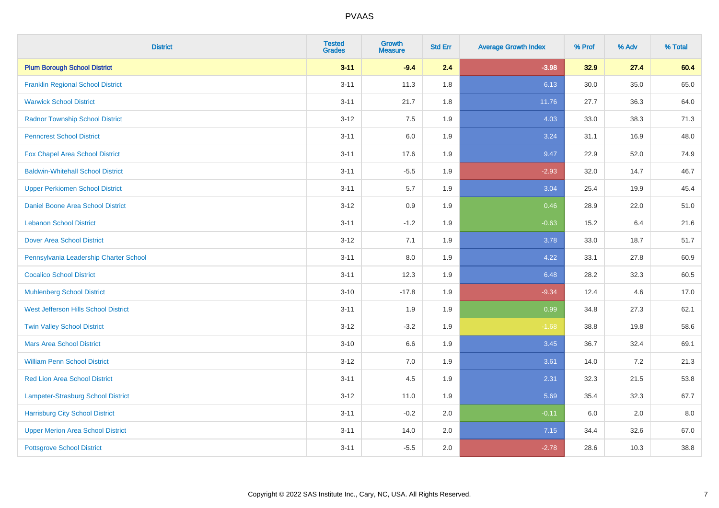| <b>District</b>                           | <b>Tested</b><br><b>Grades</b> | Growth<br><b>Measure</b> | <b>Std Err</b> | <b>Average Growth Index</b> | % Prof | % Adv | % Total |
|-------------------------------------------|--------------------------------|--------------------------|----------------|-----------------------------|--------|-------|---------|
| <b>Plum Borough School District</b>       | $3 - 11$                       | $-9.4$                   | 2.4            | $-3.98$                     | 32.9   | 27.4  | 60.4    |
| <b>Franklin Regional School District</b>  | $3 - 11$                       | 11.3                     | 1.8            | 6.13                        | 30.0   | 35.0  | 65.0    |
| <b>Warwick School District</b>            | $3 - 11$                       | 21.7                     | 1.8            | 11.76                       | 27.7   | 36.3  | 64.0    |
| <b>Radnor Township School District</b>    | $3 - 12$                       | 7.5                      | 1.9            | 4.03                        | 33.0   | 38.3  | 71.3    |
| <b>Penncrest School District</b>          | $3 - 11$                       | 6.0                      | 1.9            | 3.24                        | 31.1   | 16.9  | 48.0    |
| Fox Chapel Area School District           | $3 - 11$                       | 17.6                     | 1.9            | 9.47                        | 22.9   | 52.0  | 74.9    |
| <b>Baldwin-Whitehall School District</b>  | $3 - 11$                       | $-5.5$                   | 1.9            | $-2.93$                     | 32.0   | 14.7  | 46.7    |
| <b>Upper Perkiomen School District</b>    | $3 - 11$                       | $5.7\,$                  | 1.9            | 3.04                        | 25.4   | 19.9  | 45.4    |
| Daniel Boone Area School District         | $3 - 12$                       | $0.9\,$                  | 1.9            | 0.46                        | 28.9   | 22.0  | 51.0    |
| <b>Lebanon School District</b>            | $3 - 11$                       | $-1.2$                   | 1.9            | $-0.63$                     | 15.2   | 6.4   | 21.6    |
| <b>Dover Area School District</b>         | $3 - 12$                       | 7.1                      | 1.9            | 3.78                        | 33.0   | 18.7  | 51.7    |
| Pennsylvania Leadership Charter School    | $3 - 11$                       | 8.0                      | 1.9            | 4.22                        | 33.1   | 27.8  | 60.9    |
| <b>Cocalico School District</b>           | $3 - 11$                       | 12.3                     | 1.9            | 6.48                        | 28.2   | 32.3  | 60.5    |
| <b>Muhlenberg School District</b>         | $3 - 10$                       | $-17.8$                  | 1.9            | $-9.34$                     | 12.4   | 4.6   | 17.0    |
| West Jefferson Hills School District      | $3 - 11$                       | 1.9                      | 1.9            | 0.99                        | 34.8   | 27.3  | 62.1    |
| <b>Twin Valley School District</b>        | $3 - 12$                       | $-3.2$                   | 1.9            | $-1.68$                     | 38.8   | 19.8  | 58.6    |
| <b>Mars Area School District</b>          | $3 - 10$                       | 6.6                      | 1.9            | 3.45                        | 36.7   | 32.4  | 69.1    |
| <b>William Penn School District</b>       | $3 - 12$                       | 7.0                      | 1.9            | 3.61                        | 14.0   | 7.2   | 21.3    |
| Red Lion Area School District             | $3 - 11$                       | 4.5                      | 1.9            | 2.31                        | 32.3   | 21.5  | 53.8    |
| <b>Lampeter-Strasburg School District</b> | $3 - 12$                       | 11.0                     | 1.9            | 5.69                        | 35.4   | 32.3  | 67.7    |
| <b>Harrisburg City School District</b>    | $3 - 11$                       | $-0.2$                   | 2.0            | $-0.11$                     | 6.0    | 2.0   | 8.0     |
| <b>Upper Merion Area School District</b>  | $3 - 11$                       | 14.0                     | 2.0            | 7.15                        | 34.4   | 32.6  | 67.0    |
| <b>Pottsgrove School District</b>         | $3 - 11$                       | $-5.5$                   | 2.0            | $-2.78$                     | 28.6   | 10.3  | 38.8    |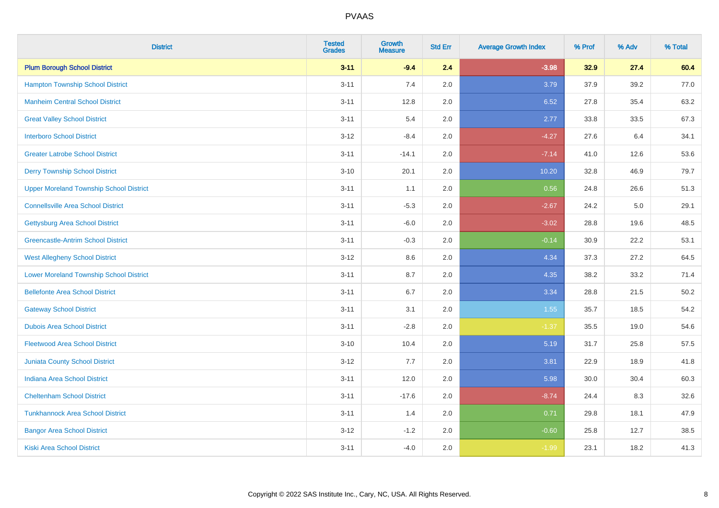| <b>District</b>                                | <b>Tested</b><br><b>Grades</b> | <b>Growth</b><br><b>Measure</b> | <b>Std Err</b> | <b>Average Growth Index</b> | % Prof | % Adv | % Total |
|------------------------------------------------|--------------------------------|---------------------------------|----------------|-----------------------------|--------|-------|---------|
| <b>Plum Borough School District</b>            | $3 - 11$                       | $-9.4$                          | 2.4            | $-3.98$                     | 32.9   | 27.4  | 60.4    |
| <b>Hampton Township School District</b>        | $3 - 11$                       | 7.4                             | 2.0            | 3.79                        | 37.9   | 39.2  | 77.0    |
| <b>Manheim Central School District</b>         | $3 - 11$                       | 12.8                            | 2.0            | 6.52                        | 27.8   | 35.4  | 63.2    |
| <b>Great Valley School District</b>            | $3 - 11$                       | 5.4                             | 2.0            | 2.77                        | 33.8   | 33.5  | 67.3    |
| <b>Interboro School District</b>               | $3 - 12$                       | $-8.4$                          | 2.0            | $-4.27$                     | 27.6   | 6.4   | 34.1    |
| <b>Greater Latrobe School District</b>         | $3 - 11$                       | $-14.1$                         | 2.0            | $-7.14$                     | 41.0   | 12.6  | 53.6    |
| <b>Derry Township School District</b>          | $3 - 10$                       | 20.1                            | 2.0            | 10.20                       | 32.8   | 46.9  | 79.7    |
| <b>Upper Moreland Township School District</b> | $3 - 11$                       | 1.1                             | 2.0            | 0.56                        | 24.8   | 26.6  | 51.3    |
| <b>Connellsville Area School District</b>      | $3 - 11$                       | $-5.3$                          | 2.0            | $-2.67$                     | 24.2   | 5.0   | 29.1    |
| <b>Gettysburg Area School District</b>         | $3 - 11$                       | $-6.0$                          | 2.0            | $-3.02$                     | 28.8   | 19.6  | 48.5    |
| <b>Greencastle-Antrim School District</b>      | $3 - 11$                       | $-0.3$                          | 2.0            | $-0.14$                     | 30.9   | 22.2  | 53.1    |
| <b>West Allegheny School District</b>          | $3 - 12$                       | 8.6                             | 2.0            | 4.34                        | 37.3   | 27.2  | 64.5    |
| <b>Lower Moreland Township School District</b> | $3 - 11$                       | 8.7                             | 2.0            | 4.35                        | 38.2   | 33.2  | 71.4    |
| <b>Bellefonte Area School District</b>         | $3 - 11$                       | 6.7                             | 2.0            | 3.34                        | 28.8   | 21.5  | 50.2    |
| <b>Gateway School District</b>                 | $3 - 11$                       | 3.1                             | 2.0            | 1.55                        | 35.7   | 18.5  | 54.2    |
| <b>Dubois Area School District</b>             | $3 - 11$                       | $-2.8$                          | 2.0            | $-1.37$                     | 35.5   | 19.0  | 54.6    |
| <b>Fleetwood Area School District</b>          | $3 - 10$                       | 10.4                            | 2.0            | 5.19                        | 31.7   | 25.8  | 57.5    |
| Juniata County School District                 | $3-12$                         | 7.7                             | 2.0            | 3.81                        | 22.9   | 18.9  | 41.8    |
| <b>Indiana Area School District</b>            | $3 - 11$                       | 12.0                            | 2.0            | 5.98                        | 30.0   | 30.4  | 60.3    |
| <b>Cheltenham School District</b>              | $3 - 11$                       | $-17.6$                         | 2.0            | $-8.74$                     | 24.4   | 8.3   | 32.6    |
| <b>Tunkhannock Area School District</b>        | $3 - 11$                       | 1.4                             | 2.0            | 0.71                        | 29.8   | 18.1  | 47.9    |
| <b>Bangor Area School District</b>             | $3-12$                         | $-1.2$                          | 2.0            | $-0.60$                     | 25.8   | 12.7  | 38.5    |
| Kiski Area School District                     | $3 - 11$                       | $-4.0$                          | 2.0            | $-1.99$                     | 23.1   | 18.2  | 41.3    |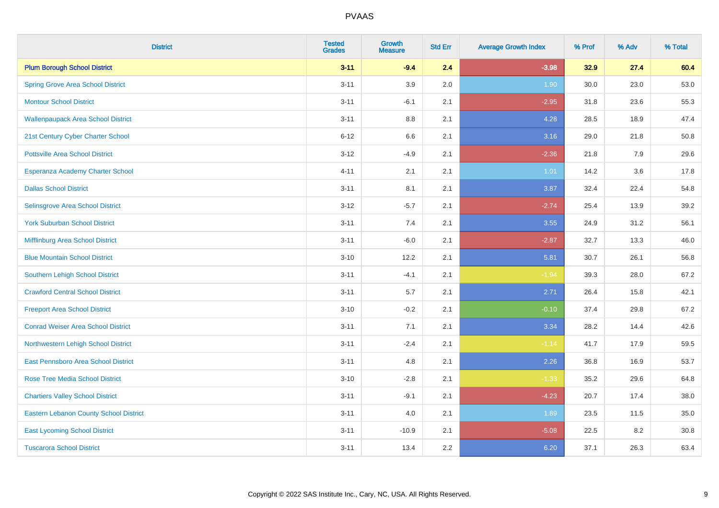| <b>District</b>                               | <b>Tested</b><br><b>Grades</b> | <b>Growth</b><br><b>Measure</b> | <b>Std Err</b> | <b>Average Growth Index</b> | % Prof | % Adv | % Total |
|-----------------------------------------------|--------------------------------|---------------------------------|----------------|-----------------------------|--------|-------|---------|
| <b>Plum Borough School District</b>           | $3 - 11$                       | $-9.4$                          | 2.4            | $-3.98$                     | 32.9   | 27.4  | 60.4    |
| <b>Spring Grove Area School District</b>      | $3 - 11$                       | 3.9                             | 2.0            | 1.90                        | 30.0   | 23.0  | 53.0    |
| <b>Montour School District</b>                | $3 - 11$                       | $-6.1$                          | 2.1            | $-2.95$                     | 31.8   | 23.6  | 55.3    |
| <b>Wallenpaupack Area School District</b>     | $3 - 11$                       | $8.8\,$                         | 2.1            | 4.28                        | 28.5   | 18.9  | 47.4    |
| 21st Century Cyber Charter School             | $6 - 12$                       | 6.6                             | 2.1            | 3.16                        | 29.0   | 21.8  | 50.8    |
| <b>Pottsville Area School District</b>        | $3-12$                         | $-4.9$                          | 2.1            | $-2.36$                     | 21.8   | 7.9   | 29.6    |
| Esperanza Academy Charter School              | $4 - 11$                       | 2.1                             | 2.1            | 1.01                        | 14.2   | 3.6   | 17.8    |
| <b>Dallas School District</b>                 | $3 - 11$                       | 8.1                             | 2.1            | 3.87                        | 32.4   | 22.4  | 54.8    |
| Selinsgrove Area School District              | $3 - 12$                       | $-5.7$                          | 2.1            | $-2.74$                     | 25.4   | 13.9  | 39.2    |
| <b>York Suburban School District</b>          | $3 - 11$                       | 7.4                             | 2.1            | 3.55                        | 24.9   | 31.2  | 56.1    |
| Mifflinburg Area School District              | $3 - 11$                       | $-6.0$                          | 2.1            | $-2.87$                     | 32.7   | 13.3  | 46.0    |
| <b>Blue Mountain School District</b>          | $3 - 10$                       | 12.2                            | 2.1            | 5.81                        | 30.7   | 26.1  | 56.8    |
| <b>Southern Lehigh School District</b>        | $3 - 11$                       | $-4.1$                          | 2.1            | $-1.94$                     | 39.3   | 28.0  | 67.2    |
| <b>Crawford Central School District</b>       | $3 - 11$                       | 5.7                             | 2.1            | 2.71                        | 26.4   | 15.8  | 42.1    |
| <b>Freeport Area School District</b>          | $3 - 10$                       | $-0.2$                          | 2.1            | $-0.10$                     | 37.4   | 29.8  | 67.2    |
| <b>Conrad Weiser Area School District</b>     | $3 - 11$                       | 7.1                             | 2.1            | 3.34                        | 28.2   | 14.4  | 42.6    |
| Northwestern Lehigh School District           | $3 - 11$                       | $-2.4$                          | 2.1            | $-1.14$                     | 41.7   | 17.9  | 59.5    |
| East Pennsboro Area School District           | $3 - 11$                       | 4.8                             | 2.1            | 2.26                        | 36.8   | 16.9  | 53.7    |
| <b>Rose Tree Media School District</b>        | $3 - 10$                       | $-2.8$                          | 2.1            | $-1.33$                     | 35.2   | 29.6  | 64.8    |
| <b>Chartiers Valley School District</b>       | $3 - 11$                       | $-9.1$                          | 2.1            | $-4.23$                     | 20.7   | 17.4  | 38.0    |
| <b>Eastern Lebanon County School District</b> | $3 - 11$                       | 4.0                             | 2.1            | 1.89                        | 23.5   | 11.5  | 35.0    |
| <b>East Lycoming School District</b>          | $3 - 11$                       | $-10.9$                         | 2.1            | $-5.08$                     | 22.5   | 8.2   | 30.8    |
| <b>Tuscarora School District</b>              | $3 - 11$                       | 13.4                            | 2.2            | 6.20                        | 37.1   | 26.3  | 63.4    |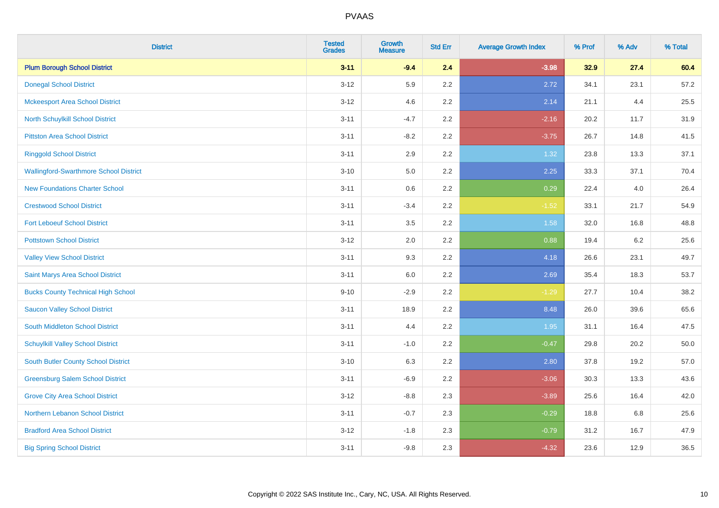| <b>District</b>                               | <b>Tested</b><br><b>Grades</b> | <b>Growth</b><br><b>Measure</b> | <b>Std Err</b> | <b>Average Growth Index</b> | % Prof | % Adv   | % Total |
|-----------------------------------------------|--------------------------------|---------------------------------|----------------|-----------------------------|--------|---------|---------|
| <b>Plum Borough School District</b>           | $3 - 11$                       | $-9.4$                          | 2.4            | $-3.98$                     | 32.9   | 27.4    | 60.4    |
| <b>Donegal School District</b>                | $3 - 12$                       | 5.9                             | 2.2            | 2.72                        | 34.1   | 23.1    | 57.2    |
| <b>Mckeesport Area School District</b>        | $3 - 12$                       | 4.6                             | 2.2            | 2.14                        | 21.1   | 4.4     | 25.5    |
| North Schuylkill School District              | $3 - 11$                       | $-4.7$                          | 2.2            | $-2.16$                     | 20.2   | 11.7    | 31.9    |
| <b>Pittston Area School District</b>          | $3 - 11$                       | $-8.2$                          | 2.2            | $-3.75$                     | 26.7   | 14.8    | 41.5    |
| <b>Ringgold School District</b>               | $3 - 11$                       | 2.9                             | 2.2            | 1.32                        | 23.8   | 13.3    | 37.1    |
| <b>Wallingford-Swarthmore School District</b> | $3 - 10$                       | 5.0                             | 2.2            | 2.25                        | 33.3   | 37.1    | 70.4    |
| <b>New Foundations Charter School</b>         | $3 - 11$                       | 0.6                             | 2.2            | 0.29                        | 22.4   | 4.0     | 26.4    |
| <b>Crestwood School District</b>              | $3 - 11$                       | $-3.4$                          | 2.2            | $-1.52$                     | 33.1   | 21.7    | 54.9    |
| <b>Fort Leboeuf School District</b>           | $3 - 11$                       | 3.5                             | 2.2            | 1.58                        | 32.0   | 16.8    | 48.8    |
| <b>Pottstown School District</b>              | $3 - 12$                       | 2.0                             | 2.2            | 0.88                        | 19.4   | $6.2\,$ | 25.6    |
| <b>Valley View School District</b>            | $3 - 11$                       | 9.3                             | 2.2            | 4.18                        | 26.6   | 23.1    | 49.7    |
| Saint Marys Area School District              | $3 - 11$                       | 6.0                             | 2.2            | 2.69                        | 35.4   | 18.3    | 53.7    |
| <b>Bucks County Technical High School</b>     | $9 - 10$                       | $-2.9$                          | 2.2            | $-1.29$                     | 27.7   | 10.4    | 38.2    |
| <b>Saucon Valley School District</b>          | $3 - 11$                       | 18.9                            | 2.2            | 8.48                        | 26.0   | 39.6    | 65.6    |
| South Middleton School District               | $3 - 11$                       | 4.4                             | 2.2            | 1.95                        | 31.1   | 16.4    | 47.5    |
| <b>Schuylkill Valley School District</b>      | $3 - 11$                       | $-1.0$                          | 2.2            | $-0.47$                     | 29.8   | 20.2    | 50.0    |
| South Butler County School District           | $3 - 10$                       | 6.3                             | 2.2            | 2.80                        | 37.8   | 19.2    | 57.0    |
| <b>Greensburg Salem School District</b>       | $3 - 11$                       | $-6.9$                          | 2.2            | $-3.06$                     | 30.3   | 13.3    | 43.6    |
| <b>Grove City Area School District</b>        | $3-12$                         | $-8.8$                          | 2.3            | $-3.89$                     | 25.6   | 16.4    | 42.0    |
| Northern Lebanon School District              | $3 - 11$                       | $-0.7$                          | 2.3            | $-0.29$                     | 18.8   | 6.8     | 25.6    |
| <b>Bradford Area School District</b>          | $3-12$                         | $-1.8$                          | 2.3            | $-0.79$                     | 31.2   | 16.7    | 47.9    |
| <b>Big Spring School District</b>             | $3 - 11$                       | $-9.8$                          | 2.3            | $-4.32$                     | 23.6   | 12.9    | 36.5    |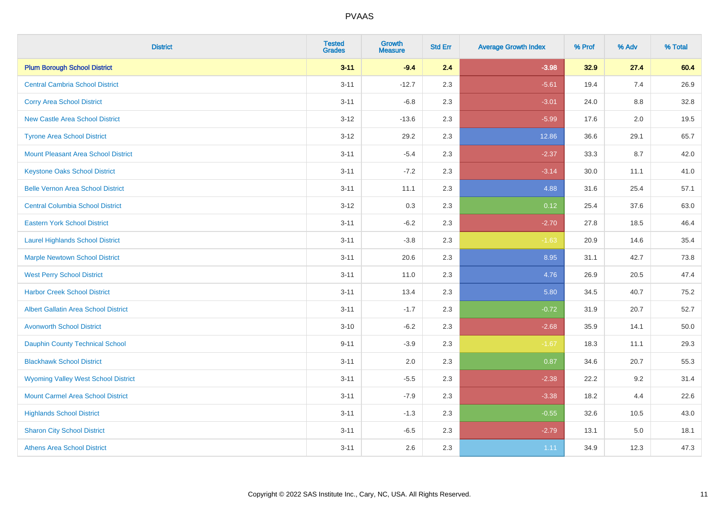| <b>District</b>                             | <b>Tested</b><br><b>Grades</b> | <b>Growth</b><br><b>Measure</b> | <b>Std Err</b> | <b>Average Growth Index</b> | % Prof | % Adv   | % Total |
|---------------------------------------------|--------------------------------|---------------------------------|----------------|-----------------------------|--------|---------|---------|
| <b>Plum Borough School District</b>         | $3 - 11$                       | $-9.4$                          | 2.4            | $-3.98$                     | 32.9   | 27.4    | 60.4    |
| <b>Central Cambria School District</b>      | $3 - 11$                       | $-12.7$                         | 2.3            | $-5.61$                     | 19.4   | 7.4     | 26.9    |
| <b>Corry Area School District</b>           | $3 - 11$                       | $-6.8$                          | 2.3            | $-3.01$                     | 24.0   | 8.8     | 32.8    |
| <b>New Castle Area School District</b>      | $3 - 12$                       | $-13.6$                         | 2.3            | $-5.99$                     | 17.6   | 2.0     | 19.5    |
| <b>Tyrone Area School District</b>          | $3-12$                         | 29.2                            | 2.3            | 12.86                       | 36.6   | 29.1    | 65.7    |
| <b>Mount Pleasant Area School District</b>  | $3 - 11$                       | $-5.4$                          | 2.3            | $-2.37$                     | 33.3   | 8.7     | 42.0    |
| <b>Keystone Oaks School District</b>        | $3 - 11$                       | $-7.2$                          | 2.3            | $-3.14$                     | 30.0   | 11.1    | 41.0    |
| <b>Belle Vernon Area School District</b>    | $3 - 11$                       | 11.1                            | 2.3            | 4.88                        | 31.6   | 25.4    | 57.1    |
| <b>Central Columbia School District</b>     | $3-12$                         | 0.3                             | 2.3            | 0.12                        | 25.4   | 37.6    | 63.0    |
| <b>Eastern York School District</b>         | $3 - 11$                       | $-6.2$                          | 2.3            | $-2.70$                     | 27.8   | 18.5    | 46.4    |
| <b>Laurel Highlands School District</b>     | $3 - 11$                       | $-3.8$                          | 2.3            | $-1.63$                     | 20.9   | 14.6    | 35.4    |
| <b>Marple Newtown School District</b>       | $3 - 11$                       | 20.6                            | 2.3            | 8.95                        | 31.1   | 42.7    | 73.8    |
| <b>West Perry School District</b>           | $3 - 11$                       | 11.0                            | 2.3            | 4.76                        | 26.9   | 20.5    | 47.4    |
| <b>Harbor Creek School District</b>         | $3 - 11$                       | 13.4                            | 2.3            | 5.80                        | 34.5   | 40.7    | 75.2    |
| <b>Albert Gallatin Area School District</b> | $3 - 11$                       | $-1.7$                          | 2.3            | $-0.72$                     | 31.9   | 20.7    | 52.7    |
| <b>Avonworth School District</b>            | $3 - 10$                       | $-6.2$                          | 2.3            | $-2.68$                     | 35.9   | 14.1    | 50.0    |
| Dauphin County Technical School             | $9 - 11$                       | $-3.9$                          | 2.3            | $-1.67$                     | 18.3   | 11.1    | 29.3    |
| <b>Blackhawk School District</b>            | $3 - 11$                       | 2.0                             | 2.3            | 0.87                        | 34.6   | 20.7    | 55.3    |
| <b>Wyoming Valley West School District</b>  | $3 - 11$                       | $-5.5$                          | 2.3            | $-2.38$                     | 22.2   | 9.2     | 31.4    |
| <b>Mount Carmel Area School District</b>    | $3 - 11$                       | $-7.9$                          | 2.3            | $-3.38$                     | 18.2   | 4.4     | 22.6    |
| <b>Highlands School District</b>            | $3 - 11$                       | $-1.3$                          | 2.3            | $-0.55$                     | 32.6   | 10.5    | 43.0    |
| <b>Sharon City School District</b>          | $3 - 11$                       | $-6.5$                          | 2.3            | $-2.79$                     | 13.1   | $5.0\,$ | 18.1    |
| <b>Athens Area School District</b>          | $3 - 11$                       | 2.6                             | 2.3            | 1.11                        | 34.9   | 12.3    | 47.3    |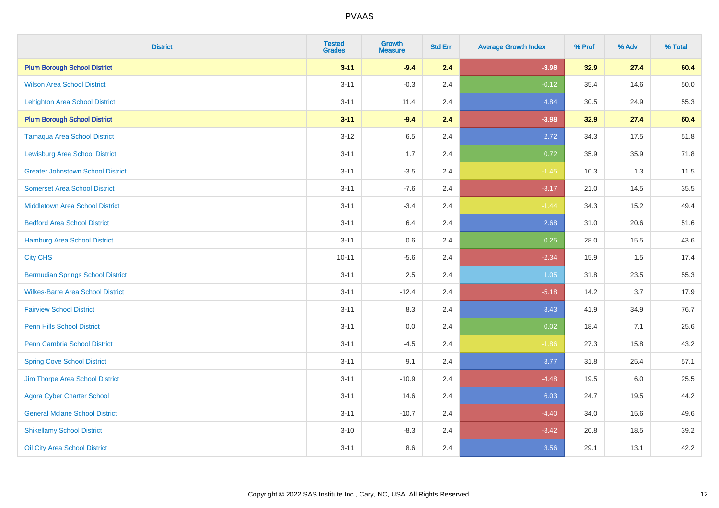| <b>District</b>                          | <b>Tested</b><br><b>Grades</b> | Growth<br><b>Measure</b> | <b>Std Err</b> | <b>Average Growth Index</b> | % Prof | % Adv | % Total |
|------------------------------------------|--------------------------------|--------------------------|----------------|-----------------------------|--------|-------|---------|
| <b>Plum Borough School District</b>      | $3 - 11$                       | $-9.4$                   | 2.4            | $-3.98$                     | 32.9   | 27.4  | 60.4    |
| <b>Wilson Area School District</b>       | $3 - 11$                       | $-0.3$                   | 2.4            | $-0.12$                     | 35.4   | 14.6  | 50.0    |
| <b>Lehighton Area School District</b>    | $3 - 11$                       | 11.4                     | 2.4            | 4.84                        | 30.5   | 24.9  | 55.3    |
| <b>Plum Borough School District</b>      | $3 - 11$                       | $-9.4$                   | 2.4            | $-3.98$                     | 32.9   | 27.4  | 60.4    |
| <b>Tamaqua Area School District</b>      | $3 - 12$                       | 6.5                      | 2.4            | 2.72                        | 34.3   | 17.5  | 51.8    |
| <b>Lewisburg Area School District</b>    | $3 - 11$                       | 1.7                      | 2.4            | 0.72                        | 35.9   | 35.9  | 71.8    |
| <b>Greater Johnstown School District</b> | $3 - 11$                       | $-3.5$                   | 2.4            | $-1.45$                     | 10.3   | 1.3   | 11.5    |
| <b>Somerset Area School District</b>     | $3 - 11$                       | $-7.6$                   | 2.4            | $-3.17$                     | 21.0   | 14.5  | 35.5    |
| <b>Middletown Area School District</b>   | $3 - 11$                       | $-3.4$                   | 2.4            | $-1.44$                     | 34.3   | 15.2  | 49.4    |
| <b>Bedford Area School District</b>      | $3 - 11$                       | 6.4                      | 2.4            | 2.68                        | 31.0   | 20.6  | 51.6    |
| Hamburg Area School District             | $3 - 11$                       | 0.6                      | 2.4            | 0.25                        | 28.0   | 15.5  | 43.6    |
| <b>City CHS</b>                          | $10 - 11$                      | $-5.6$                   | 2.4            | $-2.34$                     | 15.9   | 1.5   | 17.4    |
| <b>Bermudian Springs School District</b> | $3 - 11$                       | 2.5                      | 2.4            | $1.05$                      | 31.8   | 23.5  | 55.3    |
| <b>Wilkes-Barre Area School District</b> | $3 - 11$                       | $-12.4$                  | 2.4            | $-5.18$                     | 14.2   | 3.7   | 17.9    |
| <b>Fairview School District</b>          | $3 - 11$                       | 8.3                      | 2.4            | 3.43                        | 41.9   | 34.9  | 76.7    |
| <b>Penn Hills School District</b>        | $3 - 11$                       | 0.0                      | 2.4            | 0.02                        | 18.4   | 7.1   | 25.6    |
| <b>Penn Cambria School District</b>      | $3 - 11$                       | $-4.5$                   | 2.4            | $-1.86$                     | 27.3   | 15.8  | 43.2    |
| <b>Spring Cove School District</b>       | $3 - 11$                       | 9.1                      | 2.4            | 3.77                        | 31.8   | 25.4  | 57.1    |
| Jim Thorpe Area School District          | $3 - 11$                       | $-10.9$                  | 2.4            | $-4.48$                     | 19.5   | 6.0   | 25.5    |
| <b>Agora Cyber Charter School</b>        | $3 - 11$                       | 14.6                     | 2.4            | 6.03                        | 24.7   | 19.5  | 44.2    |
| <b>General Mclane School District</b>    | $3 - 11$                       | $-10.7$                  | 2.4            | $-4.40$                     | 34.0   | 15.6  | 49.6    |
| <b>Shikellamy School District</b>        | $3 - 10$                       | $-8.3$                   | 2.4            | $-3.42$                     | 20.8   | 18.5  | 39.2    |
| Oil City Area School District            | $3 - 11$                       | 8.6                      | 2.4            | 3.56                        | 29.1   | 13.1  | 42.2    |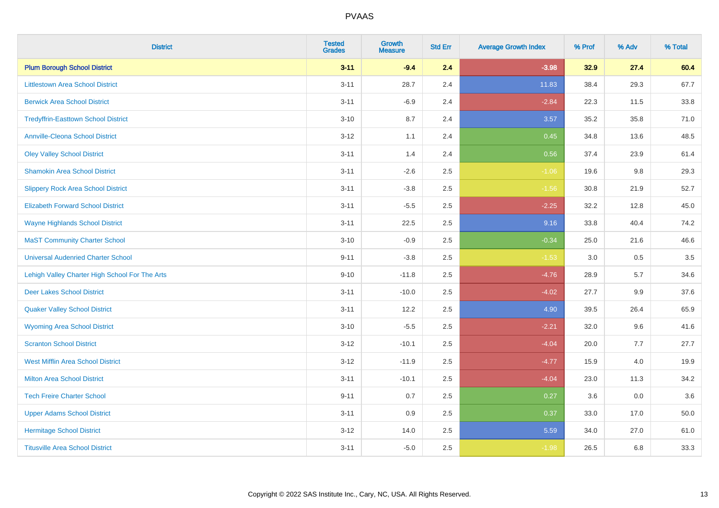| <b>District</b>                                | <b>Tested</b><br><b>Grades</b> | <b>Growth</b><br><b>Measure</b> | <b>Std Err</b> | <b>Average Growth Index</b> | % Prof | % Adv | % Total |
|------------------------------------------------|--------------------------------|---------------------------------|----------------|-----------------------------|--------|-------|---------|
| <b>Plum Borough School District</b>            | $3 - 11$                       | $-9.4$                          | 2.4            | $-3.98$                     | 32.9   | 27.4  | 60.4    |
| <b>Littlestown Area School District</b>        | $3 - 11$                       | 28.7                            | 2.4            | 11.83                       | 38.4   | 29.3  | 67.7    |
| <b>Berwick Area School District</b>            | $3 - 11$                       | $-6.9$                          | 2.4            | $-2.84$                     | 22.3   | 11.5  | 33.8    |
| <b>Tredyffrin-Easttown School District</b>     | $3 - 10$                       | 8.7                             | 2.4            | 3.57                        | 35.2   | 35.8  | 71.0    |
| <b>Annville-Cleona School District</b>         | $3 - 12$                       | 1.1                             | 2.4            | 0.45                        | 34.8   | 13.6  | 48.5    |
| <b>Oley Valley School District</b>             | $3 - 11$                       | 1.4                             | 2.4            | 0.56                        | 37.4   | 23.9  | 61.4    |
| <b>Shamokin Area School District</b>           | $3 - 11$                       | $-2.6$                          | 2.5            | $-1.06$                     | 19.6   | 9.8   | 29.3    |
| <b>Slippery Rock Area School District</b>      | $3 - 11$                       | $-3.8$                          | 2.5            | $-1.56$                     | 30.8   | 21.9  | 52.7    |
| <b>Elizabeth Forward School District</b>       | $3 - 11$                       | $-5.5$                          | 2.5            | $-2.25$                     | 32.2   | 12.8  | 45.0    |
| <b>Wayne Highlands School District</b>         | $3 - 11$                       | 22.5                            | 2.5            | 9.16                        | 33.8   | 40.4  | 74.2    |
| <b>MaST Community Charter School</b>           | $3 - 10$                       | $-0.9$                          | 2.5            | $-0.34$                     | 25.0   | 21.6  | 46.6    |
| <b>Universal Audenried Charter School</b>      | $9 - 11$                       | $-3.8$                          | 2.5            | $-1.53$                     | 3.0    | 0.5   | 3.5     |
| Lehigh Valley Charter High School For The Arts | $9 - 10$                       | $-11.8$                         | 2.5            | $-4.76$                     | 28.9   | 5.7   | 34.6    |
| <b>Deer Lakes School District</b>              | $3 - 11$                       | $-10.0$                         | 2.5            | $-4.02$                     | 27.7   | 9.9   | 37.6    |
| <b>Quaker Valley School District</b>           | $3 - 11$                       | 12.2                            | 2.5            | 4.90                        | 39.5   | 26.4  | 65.9    |
| <b>Wyoming Area School District</b>            | $3 - 10$                       | $-5.5$                          | 2.5            | $-2.21$                     | 32.0   | 9.6   | 41.6    |
| <b>Scranton School District</b>                | $3 - 12$                       | $-10.1$                         | 2.5            | $-4.04$                     | 20.0   | 7.7   | 27.7    |
| <b>West Mifflin Area School District</b>       | $3 - 12$                       | $-11.9$                         | 2.5            | $-4.77$                     | 15.9   | 4.0   | 19.9    |
| <b>Milton Area School District</b>             | $3 - 11$                       | $-10.1$                         | 2.5            | $-4.04$                     | 23.0   | 11.3  | 34.2    |
| <b>Tech Freire Charter School</b>              | $9 - 11$                       | 0.7                             | 2.5            | 0.27                        | 3.6    | 0.0   | 3.6     |
| <b>Upper Adams School District</b>             | $3 - 11$                       | 0.9                             | 2.5            | 0.37                        | 33.0   | 17.0  | 50.0    |
| <b>Hermitage School District</b>               | $3 - 12$                       | 14.0                            | 2.5            | 5.59                        | 34.0   | 27.0  | 61.0    |
| <b>Titusville Area School District</b>         | $3 - 11$                       | $-5.0$                          | 2.5            | $-1.98$                     | 26.5   | 6.8   | 33.3    |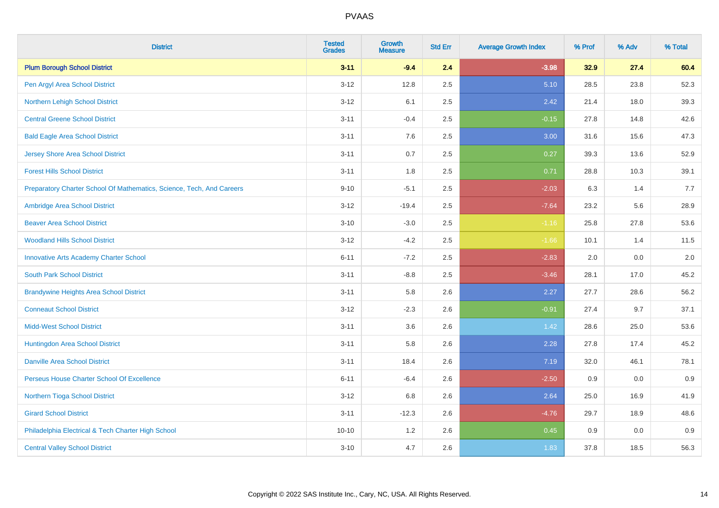| <b>District</b>                                                       | <b>Tested</b><br><b>Grades</b> | <b>Growth</b><br><b>Measure</b> | <b>Std Err</b> | <b>Average Growth Index</b> | % Prof | % Adv | % Total |
|-----------------------------------------------------------------------|--------------------------------|---------------------------------|----------------|-----------------------------|--------|-------|---------|
| <b>Plum Borough School District</b>                                   | $3 - 11$                       | $-9.4$                          | 2.4            | $-3.98$                     | 32.9   | 27.4  | 60.4    |
| Pen Argyl Area School District                                        | $3 - 12$                       | 12.8                            | 2.5            | 5.10                        | 28.5   | 23.8  | 52.3    |
| Northern Lehigh School District                                       | $3 - 12$                       | 6.1                             | 2.5            | 2.42                        | 21.4   | 18.0  | 39.3    |
| <b>Central Greene School District</b>                                 | $3 - 11$                       | $-0.4$                          | 2.5            | $-0.15$                     | 27.8   | 14.8  | 42.6    |
| <b>Bald Eagle Area School District</b>                                | $3 - 11$                       | 7.6                             | 2.5            | 3.00                        | 31.6   | 15.6  | 47.3    |
| <b>Jersey Shore Area School District</b>                              | $3 - 11$                       | 0.7                             | 2.5            | 0.27                        | 39.3   | 13.6  | 52.9    |
| <b>Forest Hills School District</b>                                   | $3 - 11$                       | 1.8                             | 2.5            | 0.71                        | 28.8   | 10.3  | 39.1    |
| Preparatory Charter School Of Mathematics, Science, Tech, And Careers | $9 - 10$                       | $-5.1$                          | 2.5            | $-2.03$                     | 6.3    | 1.4   | 7.7     |
| Ambridge Area School District                                         | $3 - 12$                       | $-19.4$                         | 2.5            | $-7.64$                     | 23.2   | 5.6   | 28.9    |
| <b>Beaver Area School District</b>                                    | $3 - 10$                       | $-3.0$                          | 2.5            | $-1.16$                     | 25.8   | 27.8  | 53.6    |
| <b>Woodland Hills School District</b>                                 | $3 - 12$                       | $-4.2$                          | 2.5            | $-1.66$                     | 10.1   | 1.4   | 11.5    |
| <b>Innovative Arts Academy Charter School</b>                         | $6 - 11$                       | $-7.2$                          | 2.5            | $-2.83$                     | 2.0    | 0.0   | 2.0     |
| <b>South Park School District</b>                                     | $3 - 11$                       | $-8.8$                          | 2.5            | $-3.46$                     | 28.1   | 17.0  | 45.2    |
| <b>Brandywine Heights Area School District</b>                        | $3 - 11$                       | 5.8                             | 2.6            | 2.27                        | 27.7   | 28.6  | 56.2    |
| <b>Conneaut School District</b>                                       | $3 - 12$                       | $-2.3$                          | 2.6            | $-0.91$                     | 27.4   | 9.7   | 37.1    |
| <b>Midd-West School District</b>                                      | $3 - 11$                       | 3.6                             | 2.6            | 1.42                        | 28.6   | 25.0  | 53.6    |
| Huntingdon Area School District                                       | $3 - 11$                       | 5.8                             | 2.6            | 2.28                        | 27.8   | 17.4  | 45.2    |
| <b>Danville Area School District</b>                                  | $3 - 11$                       | 18.4                            | 2.6            | 7.19                        | 32.0   | 46.1  | 78.1    |
| Perseus House Charter School Of Excellence                            | $6 - 11$                       | $-6.4$                          | 2.6            | $-2.50$                     | 0.9    | 0.0   | 0.9     |
| Northern Tioga School District                                        | $3 - 12$                       | 6.8                             | 2.6            | 2.64                        | 25.0   | 16.9  | 41.9    |
| <b>Girard School District</b>                                         | $3 - 11$                       | $-12.3$                         | 2.6            | $-4.76$                     | 29.7   | 18.9  | 48.6    |
| Philadelphia Electrical & Tech Charter High School                    | $10 - 10$                      | 1.2                             | 2.6            | 0.45                        | 0.9    | 0.0   | 0.9     |
| <b>Central Valley School District</b>                                 | $3 - 10$                       | 4.7                             | 2.6            | 1.83                        | 37.8   | 18.5  | 56.3    |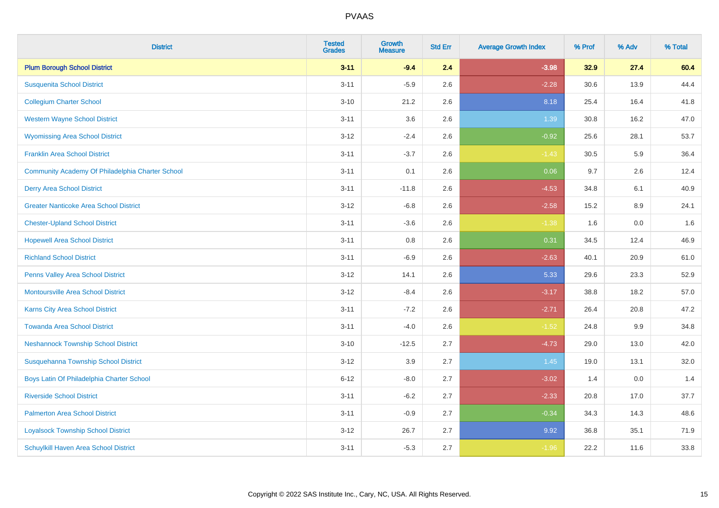| <b>District</b>                                  | <b>Tested</b><br><b>Grades</b> | <b>Growth</b><br><b>Measure</b> | <b>Std Err</b> | <b>Average Growth Index</b> | % Prof | % Adv | % Total |
|--------------------------------------------------|--------------------------------|---------------------------------|----------------|-----------------------------|--------|-------|---------|
| <b>Plum Borough School District</b>              | $3 - 11$                       | $-9.4$                          | 2.4            | $-3.98$                     | 32.9   | 27.4  | 60.4    |
| <b>Susquenita School District</b>                | $3 - 11$                       | $-5.9$                          | 2.6            | $-2.28$                     | 30.6   | 13.9  | 44.4    |
| <b>Collegium Charter School</b>                  | $3 - 10$                       | 21.2                            | 2.6            | 8.18                        | 25.4   | 16.4  | 41.8    |
| <b>Western Wayne School District</b>             | $3 - 11$                       | 3.6                             | 2.6            | 1.39                        | 30.8   | 16.2  | 47.0    |
| <b>Wyomissing Area School District</b>           | $3 - 12$                       | $-2.4$                          | 2.6            | $-0.92$                     | 25.6   | 28.1  | 53.7    |
| <b>Franklin Area School District</b>             | $3 - 11$                       | $-3.7$                          | 2.6            | $-1.43$                     | 30.5   | 5.9   | 36.4    |
| Community Academy Of Philadelphia Charter School | $3 - 11$                       | 0.1                             | 2.6            | 0.06                        | 9.7    | 2.6   | 12.4    |
| <b>Derry Area School District</b>                | $3 - 11$                       | $-11.8$                         | 2.6            | $-4.53$                     | 34.8   | 6.1   | 40.9    |
| <b>Greater Nanticoke Area School District</b>    | $3 - 12$                       | $-6.8$                          | 2.6            | $-2.58$                     | 15.2   | 8.9   | 24.1    |
| <b>Chester-Upland School District</b>            | $3 - 11$                       | $-3.6$                          | 2.6            | $-1.38$                     | 1.6    | 0.0   | 1.6     |
| <b>Hopewell Area School District</b>             | $3 - 11$                       | 0.8                             | 2.6            | 0.31                        | 34.5   | 12.4  | 46.9    |
| <b>Richland School District</b>                  | $3 - 11$                       | $-6.9$                          | 2.6            | $-2.63$                     | 40.1   | 20.9  | 61.0    |
| Penns Valley Area School District                | $3 - 12$                       | 14.1                            | 2.6            | 5.33                        | 29.6   | 23.3  | 52.9    |
| <b>Montoursville Area School District</b>        | $3 - 12$                       | $-8.4$                          | 2.6            | $-3.17$                     | 38.8   | 18.2  | 57.0    |
| Karns City Area School District                  | $3 - 11$                       | $-7.2$                          | 2.6            | $-2.71$                     | 26.4   | 20.8  | 47.2    |
| <b>Towanda Area School District</b>              | $3 - 11$                       | $-4.0$                          | 2.6            | $-1.52$                     | 24.8   | 9.9   | 34.8    |
| <b>Neshannock Township School District</b>       | $3 - 10$                       | $-12.5$                         | 2.7            | $-4.73$                     | 29.0   | 13.0  | 42.0    |
| Susquehanna Township School District             | $3 - 12$                       | 3.9                             | 2.7            | 1.45                        | 19.0   | 13.1  | 32.0    |
| Boys Latin Of Philadelphia Charter School        | $6 - 12$                       | $-8.0$                          | 2.7            | $-3.02$                     | 1.4    | 0.0   | 1.4     |
| <b>Riverside School District</b>                 | $3 - 11$                       | $-6.2$                          | 2.7            | $-2.33$                     | 20.8   | 17.0  | 37.7    |
| <b>Palmerton Area School District</b>            | $3 - 11$                       | $-0.9$                          | 2.7            | $-0.34$                     | 34.3   | 14.3  | 48.6    |
| <b>Loyalsock Township School District</b>        | $3 - 12$                       | 26.7                            | 2.7            | 9.92                        | 36.8   | 35.1  | 71.9    |
| <b>Schuylkill Haven Area School District</b>     | $3 - 11$                       | $-5.3$                          | 2.7            | $-1.96$                     | 22.2   | 11.6  | 33.8    |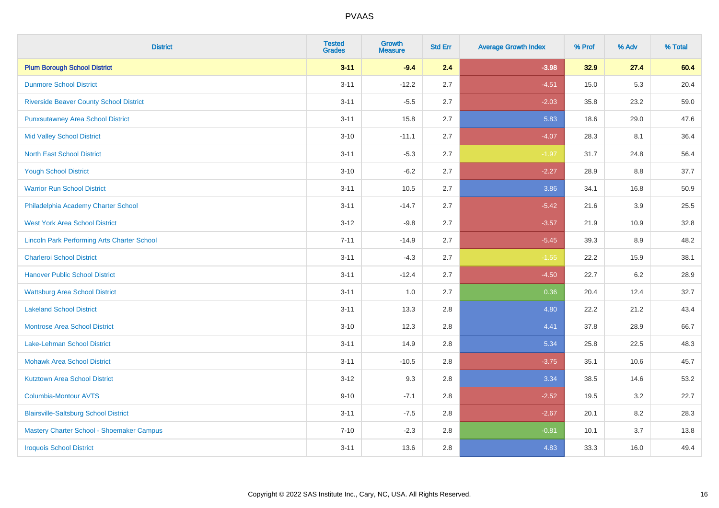| <b>District</b>                                    | <b>Tested</b><br><b>Grades</b> | <b>Growth</b><br><b>Measure</b> | <b>Std Err</b> | <b>Average Growth Index</b> | % Prof | % Adv | % Total |
|----------------------------------------------------|--------------------------------|---------------------------------|----------------|-----------------------------|--------|-------|---------|
| <b>Plum Borough School District</b>                | $3 - 11$                       | $-9.4$                          | 2.4            | $-3.98$                     | 32.9   | 27.4  | 60.4    |
| <b>Dunmore School District</b>                     | $3 - 11$                       | $-12.2$                         | 2.7            | $-4.51$                     | 15.0   | 5.3   | 20.4    |
| <b>Riverside Beaver County School District</b>     | $3 - 11$                       | $-5.5$                          | 2.7            | $-2.03$                     | 35.8   | 23.2  | 59.0    |
| <b>Punxsutawney Area School District</b>           | $3 - 11$                       | 15.8                            | 2.7            | 5.83                        | 18.6   | 29.0  | 47.6    |
| <b>Mid Valley School District</b>                  | $3 - 10$                       | $-11.1$                         | 2.7            | $-4.07$                     | 28.3   | 8.1   | 36.4    |
| <b>North East School District</b>                  | $3 - 11$                       | $-5.3$                          | 2.7            | $-1.97$                     | 31.7   | 24.8  | 56.4    |
| <b>Yough School District</b>                       | $3 - 10$                       | $-6.2$                          | 2.7            | $-2.27$                     | 28.9   | 8.8   | 37.7    |
| <b>Warrior Run School District</b>                 | $3 - 11$                       | 10.5                            | 2.7            | 3.86                        | 34.1   | 16.8  | 50.9    |
| Philadelphia Academy Charter School                | $3 - 11$                       | $-14.7$                         | 2.7            | $-5.42$                     | 21.6   | 3.9   | 25.5    |
| <b>West York Area School District</b>              | $3 - 12$                       | $-9.8$                          | 2.7            | $-3.57$                     | 21.9   | 10.9  | 32.8    |
| <b>Lincoln Park Performing Arts Charter School</b> | $7 - 11$                       | $-14.9$                         | 2.7            | $-5.45$                     | 39.3   | 8.9   | 48.2    |
| <b>Charleroi School District</b>                   | $3 - 11$                       | $-4.3$                          | 2.7            | $-1.55$                     | 22.2   | 15.9  | 38.1    |
| <b>Hanover Public School District</b>              | $3 - 11$                       | $-12.4$                         | 2.7            | $-4.50$                     | 22.7   | 6.2   | 28.9    |
| <b>Wattsburg Area School District</b>              | $3 - 11$                       | 1.0                             | 2.7            | 0.36                        | 20.4   | 12.4  | 32.7    |
| <b>Lakeland School District</b>                    | $3 - 11$                       | 13.3                            | 2.8            | 4.80                        | 22.2   | 21.2  | 43.4    |
| <b>Montrose Area School District</b>               | $3 - 10$                       | 12.3                            | 2.8            | 4.41                        | 37.8   | 28.9  | 66.7    |
| Lake-Lehman School District                        | $3 - 11$                       | 14.9                            | 2.8            | 5.34                        | 25.8   | 22.5  | 48.3    |
| <b>Mohawk Area School District</b>                 | $3 - 11$                       | $-10.5$                         | 2.8            | $-3.75$                     | 35.1   | 10.6  | 45.7    |
| <b>Kutztown Area School District</b>               | $3 - 12$                       | 9.3                             | 2.8            | 3.34                        | 38.5   | 14.6  | 53.2    |
| Columbia-Montour AVTS                              | $9 - 10$                       | $-7.1$                          | 2.8            | $-2.52$                     | 19.5   | 3.2   | 22.7    |
| <b>Blairsville-Saltsburg School District</b>       | $3 - 11$                       | $-7.5$                          | 2.8            | $-2.67$                     | 20.1   | 8.2   | 28.3    |
| Mastery Charter School - Shoemaker Campus          | $7 - 10$                       | $-2.3$                          | 2.8            | $-0.81$                     | 10.1   | 3.7   | 13.8    |
| <b>Iroquois School District</b>                    | $3 - 11$                       | 13.6                            | 2.8            | 4.83                        | 33.3   | 16.0  | 49.4    |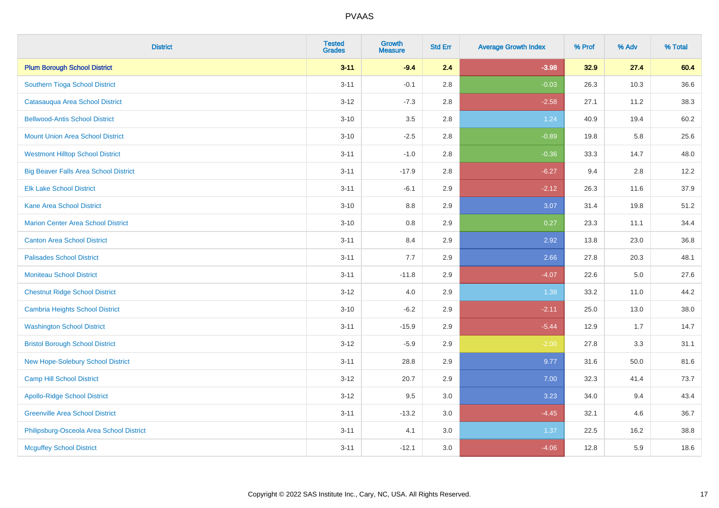| <b>District</b>                              | <b>Tested</b><br><b>Grades</b> | <b>Growth</b><br><b>Measure</b> | <b>Std Err</b> | <b>Average Growth Index</b> | % Prof | % Adv   | % Total |
|----------------------------------------------|--------------------------------|---------------------------------|----------------|-----------------------------|--------|---------|---------|
| <b>Plum Borough School District</b>          | $3 - 11$                       | $-9.4$                          | 2.4            | $-3.98$                     | 32.9   | 27.4    | 60.4    |
| Southern Tioga School District               | $3 - 11$                       | $-0.1$                          | 2.8            | $-0.03$                     | 26.3   | 10.3    | 36.6    |
| Catasauqua Area School District              | $3 - 12$                       | $-7.3$                          | 2.8            | $-2.58$                     | 27.1   | 11.2    | 38.3    |
| <b>Bellwood-Antis School District</b>        | $3 - 10$                       | 3.5                             | 2.8            | 1.24                        | 40.9   | 19.4    | 60.2    |
| <b>Mount Union Area School District</b>      | $3 - 10$                       | $-2.5$                          | 2.8            | $-0.89$                     | 19.8   | 5.8     | 25.6    |
| <b>Westmont Hilltop School District</b>      | $3 - 11$                       | $-1.0$                          | 2.8            | $-0.36$                     | 33.3   | 14.7    | 48.0    |
| <b>Big Beaver Falls Area School District</b> | $3 - 11$                       | $-17.9$                         | 2.8            | $-6.27$                     | 9.4    | 2.8     | 12.2    |
| <b>Elk Lake School District</b>              | $3 - 11$                       | $-6.1$                          | 2.9            | $-2.12$                     | 26.3   | 11.6    | 37.9    |
| <b>Kane Area School District</b>             | $3 - 10$                       | 8.8                             | 2.9            | 3.07                        | 31.4   | 19.8    | 51.2    |
| <b>Marion Center Area School District</b>    | $3 - 10$                       | 0.8                             | 2.9            | 0.27                        | 23.3   | 11.1    | 34.4    |
| <b>Canton Area School District</b>           | $3 - 11$                       | 8.4                             | 2.9            | 2.92                        | 13.8   | 23.0    | 36.8    |
| <b>Palisades School District</b>             | $3 - 11$                       | 7.7                             | 2.9            | 2.66                        | 27.8   | 20.3    | 48.1    |
| <b>Moniteau School District</b>              | $3 - 11$                       | $-11.8$                         | 2.9            | $-4.07$                     | 22.6   | $5.0\,$ | 27.6    |
| <b>Chestnut Ridge School District</b>        | $3 - 12$                       | $4.0\,$                         | 2.9            | 1.38                        | 33.2   | 11.0    | 44.2    |
| <b>Cambria Heights School District</b>       | $3 - 10$                       | $-6.2$                          | 2.9            | $-2.11$                     | 25.0   | 13.0    | 38.0    |
| <b>Washington School District</b>            | $3 - 11$                       | $-15.9$                         | 2.9            | $-5.44$                     | 12.9   | 1.7     | 14.7    |
| <b>Bristol Borough School District</b>       | $3 - 12$                       | $-5.9$                          | 2.9            | $-2.00$                     | 27.8   | 3.3     | 31.1    |
| New Hope-Solebury School District            | $3 - 11$                       | 28.8                            | 2.9            | 9.77                        | 31.6   | 50.0    | 81.6    |
| Camp Hill School District                    | $3 - 12$                       | 20.7                            | 2.9            | 7.00                        | 32.3   | 41.4    | 73.7    |
| <b>Apollo-Ridge School District</b>          | $3 - 12$                       | 9.5                             | 3.0            | 3.23                        | 34.0   | 9.4     | 43.4    |
| <b>Greenville Area School District</b>       | $3 - 11$                       | $-13.2$                         | 3.0            | $-4.45$                     | 32.1   | 4.6     | 36.7    |
| Philipsburg-Osceola Area School District     | $3 - 11$                       | 4.1                             | 3.0            | 1.37                        | 22.5   | 16.2    | 38.8    |
| <b>Mcguffey School District</b>              | $3 - 11$                       | $-12.1$                         | 3.0            | $-4.06$                     | 12.8   | 5.9     | 18.6    |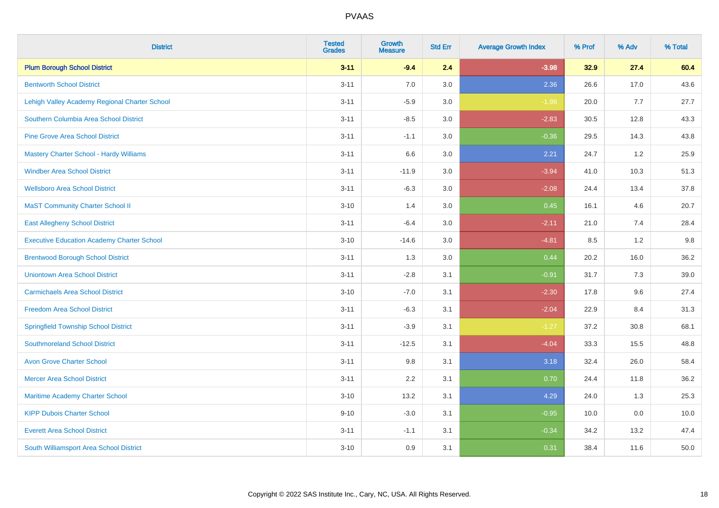| <b>District</b>                                   | <b>Tested</b><br><b>Grades</b> | <b>Growth</b><br><b>Measure</b> | <b>Std Err</b> | <b>Average Growth Index</b> | % Prof | % Adv | % Total |
|---------------------------------------------------|--------------------------------|---------------------------------|----------------|-----------------------------|--------|-------|---------|
| <b>Plum Borough School District</b>               | $3 - 11$                       | $-9.4$                          | 2.4            | $-3.98$                     | 32.9   | 27.4  | 60.4    |
| <b>Bentworth School District</b>                  | $3 - 11$                       | 7.0                             | 3.0            | 2.36                        | 26.6   | 17.0  | 43.6    |
| Lehigh Valley Academy Regional Charter School     | $3 - 11$                       | $-5.9$                          | 3.0            | $-1.98$                     | 20.0   | 7.7   | 27.7    |
| Southern Columbia Area School District            | $3 - 11$                       | $-8.5$                          | 3.0            | $-2.83$                     | 30.5   | 12.8  | 43.3    |
| <b>Pine Grove Area School District</b>            | $3 - 11$                       | $-1.1$                          | 3.0            | $-0.36$                     | 29.5   | 14.3  | 43.8    |
| Mastery Charter School - Hardy Williams           | $3 - 11$                       | 6.6                             | 3.0            | 2.21                        | 24.7   | 1.2   | 25.9    |
| <b>Windber Area School District</b>               | $3 - 11$                       | $-11.9$                         | 3.0            | $-3.94$                     | 41.0   | 10.3  | 51.3    |
| <b>Wellsboro Area School District</b>             | $3 - 11$                       | $-6.3$                          | 3.0            | $-2.08$                     | 24.4   | 13.4  | 37.8    |
| <b>MaST Community Charter School II</b>           | $3 - 10$                       | 1.4                             | 3.0            | 0.45                        | 16.1   | 4.6   | 20.7    |
| <b>East Allegheny School District</b>             | $3 - 11$                       | $-6.4$                          | 3.0            | $-2.11$                     | 21.0   | 7.4   | 28.4    |
| <b>Executive Education Academy Charter School</b> | $3 - 10$                       | $-14.6$                         | 3.0            | $-4.81$                     | 8.5    | 1.2   | 9.8     |
| <b>Brentwood Borough School District</b>          | $3 - 11$                       | 1.3                             | 3.0            | 0.44                        | 20.2   | 16.0  | 36.2    |
| <b>Uniontown Area School District</b>             | $3 - 11$                       | $-2.8$                          | 3.1            | $-0.91$                     | 31.7   | 7.3   | 39.0    |
| <b>Carmichaels Area School District</b>           | $3 - 10$                       | $-7.0$                          | 3.1            | $-2.30$                     | 17.8   | 9.6   | 27.4    |
| <b>Freedom Area School District</b>               | $3 - 11$                       | $-6.3$                          | 3.1            | $-2.04$                     | 22.9   | 8.4   | 31.3    |
| <b>Springfield Township School District</b>       | $3 - 11$                       | $-3.9$                          | 3.1            | $-1.27$                     | 37.2   | 30.8  | 68.1    |
| <b>Southmoreland School District</b>              | $3 - 11$                       | $-12.5$                         | 3.1            | $-4.04$                     | 33.3   | 15.5  | 48.8    |
| <b>Avon Grove Charter School</b>                  | $3 - 11$                       | 9.8                             | 3.1            | 3.18                        | 32.4   | 26.0  | 58.4    |
| <b>Mercer Area School District</b>                | $3 - 11$                       | 2.2                             | 3.1            | 0.70                        | 24.4   | 11.8  | 36.2    |
| Maritime Academy Charter School                   | $3 - 10$                       | 13.2                            | 3.1            | 4.29                        | 24.0   | 1.3   | 25.3    |
| <b>KIPP Dubois Charter School</b>                 | $9 - 10$                       | $-3.0$                          | 3.1            | $-0.95$                     | 10.0   | 0.0   | 10.0    |
| <b>Everett Area School District</b>               | $3 - 11$                       | $-1.1$                          | 3.1            | $-0.34$                     | 34.2   | 13.2  | 47.4    |
| South Williamsport Area School District           | $3 - 10$                       | 0.9                             | 3.1            | 0.31                        | 38.4   | 11.6  | 50.0    |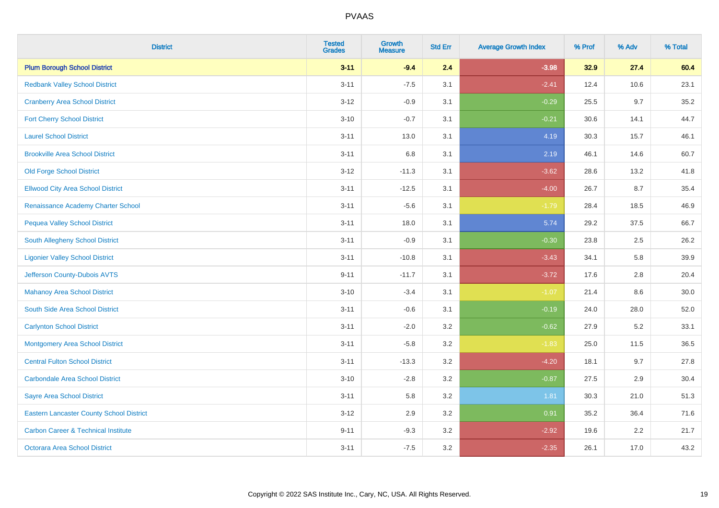| <b>District</b>                                 | <b>Tested</b><br><b>Grades</b> | <b>Growth</b><br><b>Measure</b> | <b>Std Err</b> | <b>Average Growth Index</b> | % Prof | % Adv | % Total |
|-------------------------------------------------|--------------------------------|---------------------------------|----------------|-----------------------------|--------|-------|---------|
| <b>Plum Borough School District</b>             | $3 - 11$                       | $-9.4$                          | 2.4            | $-3.98$                     | 32.9   | 27.4  | 60.4    |
| <b>Redbank Valley School District</b>           | $3 - 11$                       | $-7.5$                          | 3.1            | $-2.41$                     | 12.4   | 10.6  | 23.1    |
| <b>Cranberry Area School District</b>           | $3 - 12$                       | $-0.9$                          | 3.1            | $-0.29$                     | 25.5   | 9.7   | 35.2    |
| <b>Fort Cherry School District</b>              | $3 - 10$                       | $-0.7$                          | 3.1            | $-0.21$                     | 30.6   | 14.1  | 44.7    |
| <b>Laurel School District</b>                   | $3 - 11$                       | 13.0                            | 3.1            | 4.19                        | 30.3   | 15.7  | 46.1    |
| <b>Brookville Area School District</b>          | $3 - 11$                       | 6.8                             | 3.1            | 2.19                        | 46.1   | 14.6  | 60.7    |
| <b>Old Forge School District</b>                | $3-12$                         | $-11.3$                         | 3.1            | $-3.62$                     | 28.6   | 13.2  | 41.8    |
| <b>Ellwood City Area School District</b>        | $3 - 11$                       | $-12.5$                         | 3.1            | $-4.00$                     | 26.7   | 8.7   | 35.4    |
| Renaissance Academy Charter School              | $3 - 11$                       | $-5.6$                          | 3.1            | $-1.79$                     | 28.4   | 18.5  | 46.9    |
| <b>Pequea Valley School District</b>            | $3 - 11$                       | 18.0                            | 3.1            | 5.74                        | 29.2   | 37.5  | 66.7    |
| South Allegheny School District                 | $3 - 11$                       | $-0.9$                          | 3.1            | $-0.30$                     | 23.8   | 2.5   | 26.2    |
| <b>Ligonier Valley School District</b>          | $3 - 11$                       | $-10.8$                         | 3.1            | $-3.43$                     | 34.1   | 5.8   | 39.9    |
| Jefferson County-Dubois AVTS                    | $9 - 11$                       | $-11.7$                         | 3.1            | $-3.72$                     | 17.6   | 2.8   | 20.4    |
| <b>Mahanoy Area School District</b>             | $3 - 10$                       | $-3.4$                          | 3.1            | $-1.07$                     | 21.4   | 8.6   | 30.0    |
| South Side Area School District                 | $3 - 11$                       | $-0.6$                          | 3.1            | $-0.19$                     | 24.0   | 28.0  | 52.0    |
| <b>Carlynton School District</b>                | $3 - 11$                       | $-2.0$                          | 3.2            | $-0.62$                     | 27.9   | 5.2   | 33.1    |
| <b>Montgomery Area School District</b>          | $3 - 11$                       | $-5.8$                          | 3.2            | $-1.83$                     | 25.0   | 11.5  | 36.5    |
| <b>Central Fulton School District</b>           | $3 - 11$                       | $-13.3$                         | 3.2            | $-4.20$                     | 18.1   | 9.7   | 27.8    |
| <b>Carbondale Area School District</b>          | $3 - 10$                       | $-2.8$                          | 3.2            | $-0.87$                     | 27.5   | 2.9   | 30.4    |
| <b>Sayre Area School District</b>               | $3 - 11$                       | 5.8                             | 3.2            | 1.81                        | 30.3   | 21.0  | 51.3    |
| <b>Eastern Lancaster County School District</b> | $3 - 12$                       | 2.9                             | 3.2            | 0.91                        | 35.2   | 36.4  | 71.6    |
| <b>Carbon Career &amp; Technical Institute</b>  | $9 - 11$                       | $-9.3$                          | 3.2            | $-2.92$                     | 19.6   | 2.2   | 21.7    |
| <b>Octorara Area School District</b>            | $3 - 11$                       | $-7.5$                          | 3.2            | $-2.35$                     | 26.1   | 17.0  | 43.2    |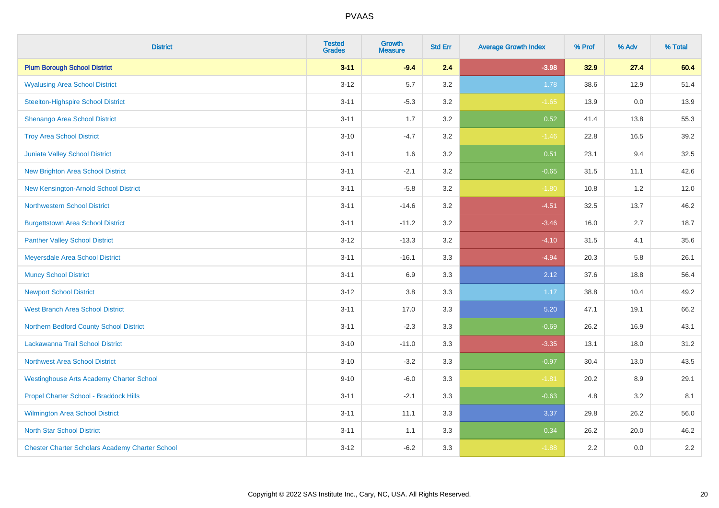| <b>District</b>                                        | <b>Tested</b><br><b>Grades</b> | <b>Growth</b><br><b>Measure</b> | <b>Std Err</b> | <b>Average Growth Index</b> | % Prof | % Adv | % Total |
|--------------------------------------------------------|--------------------------------|---------------------------------|----------------|-----------------------------|--------|-------|---------|
| <b>Plum Borough School District</b>                    | $3 - 11$                       | $-9.4$                          | 2.4            | $-3.98$                     | 32.9   | 27.4  | 60.4    |
| <b>Wyalusing Area School District</b>                  | $3 - 12$                       | 5.7                             | 3.2            | 1.78                        | 38.6   | 12.9  | 51.4    |
| <b>Steelton-Highspire School District</b>              | $3 - 11$                       | $-5.3$                          | 3.2            | $-1.65$                     | 13.9   | 0.0   | 13.9    |
| Shenango Area School District                          | $3 - 11$                       | 1.7                             | 3.2            | 0.52                        | 41.4   | 13.8  | 55.3    |
| <b>Troy Area School District</b>                       | $3 - 10$                       | $-4.7$                          | 3.2            | $-1.46$                     | 22.8   | 16.5  | 39.2    |
| Juniata Valley School District                         | $3 - 11$                       | 1.6                             | 3.2            | 0.51                        | 23.1   | 9.4   | 32.5    |
| <b>New Brighton Area School District</b>               | $3 - 11$                       | $-2.1$                          | 3.2            | $-0.65$                     | 31.5   | 11.1  | 42.6    |
| New Kensington-Arnold School District                  | $3 - 11$                       | $-5.8$                          | 3.2            | $-1.80$                     | 10.8   | 1.2   | 12.0    |
| <b>Northwestern School District</b>                    | $3 - 11$                       | $-14.6$                         | 3.2            | $-4.51$                     | 32.5   | 13.7  | 46.2    |
| <b>Burgettstown Area School District</b>               | $3 - 11$                       | $-11.2$                         | 3.2            | $-3.46$                     | 16.0   | 2.7   | 18.7    |
| <b>Panther Valley School District</b>                  | $3 - 12$                       | $-13.3$                         | 3.2            | $-4.10$                     | 31.5   | 4.1   | 35.6    |
| Meyersdale Area School District                        | $3 - 11$                       | $-16.1$                         | 3.3            | $-4.94$                     | 20.3   | 5.8   | 26.1    |
| <b>Muncy School District</b>                           | $3 - 11$                       | 6.9                             | 3.3            | 2.12                        | 37.6   | 18.8  | 56.4    |
| <b>Newport School District</b>                         | $3 - 12$                       | 3.8                             | 3.3            | 1.17                        | 38.8   | 10.4  | 49.2    |
| <b>West Branch Area School District</b>                | $3 - 11$                       | 17.0                            | 3.3            | 5.20                        | 47.1   | 19.1  | 66.2    |
| Northern Bedford County School District                | $3 - 11$                       | $-2.3$                          | 3.3            | $-0.69$                     | 26.2   | 16.9  | 43.1    |
| Lackawanna Trail School District                       | $3 - 10$                       | $-11.0$                         | 3.3            | $-3.35$                     | 13.1   | 18.0  | 31.2    |
| <b>Northwest Area School District</b>                  | $3 - 10$                       | $-3.2$                          | 3.3            | $-0.97$                     | 30.4   | 13.0  | 43.5    |
| <b>Westinghouse Arts Academy Charter School</b>        | $9 - 10$                       | $-6.0$                          | 3.3            | $-1.81$                     | 20.2   | 8.9   | 29.1    |
| Propel Charter School - Braddock Hills                 | $3 - 11$                       | $-2.1$                          | 3.3            | $-0.63$                     | 4.8    | 3.2   | 8.1     |
| <b>Wilmington Area School District</b>                 | $3 - 11$                       | 11.1                            | 3.3            | 3.37                        | 29.8   | 26.2  | 56.0    |
| <b>North Star School District</b>                      | $3 - 11$                       | 1.1                             | 3.3            | 0.34                        | 26.2   | 20.0  | 46.2    |
| <b>Chester Charter Scholars Academy Charter School</b> | $3 - 12$                       | $-6.2$                          | 3.3            | $-1.88$                     | 2.2    | 0.0   | $2.2\,$ |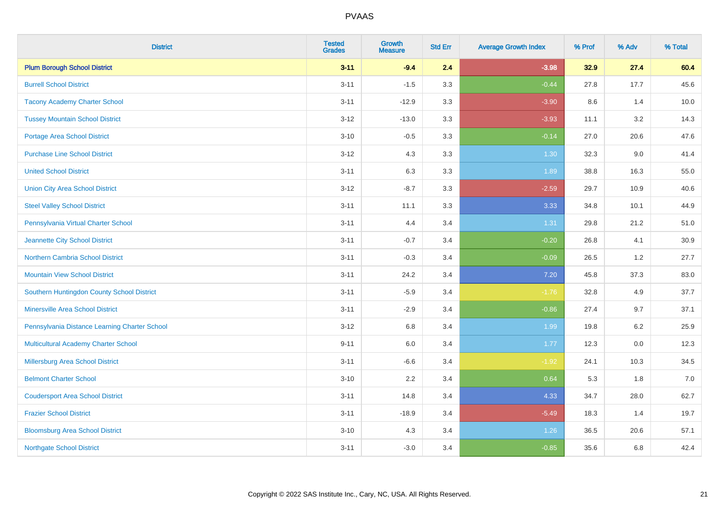| <b>District</b>                               | <b>Tested</b><br><b>Grades</b> | Growth<br><b>Measure</b> | <b>Std Err</b> | <b>Average Growth Index</b> | % Prof | % Adv   | % Total |
|-----------------------------------------------|--------------------------------|--------------------------|----------------|-----------------------------|--------|---------|---------|
| <b>Plum Borough School District</b>           | $3 - 11$                       | $-9.4$                   | 2.4            | $-3.98$                     | 32.9   | 27.4    | 60.4    |
| <b>Burrell School District</b>                | $3 - 11$                       | $-1.5$                   | 3.3            | $-0.44$                     | 27.8   | 17.7    | 45.6    |
| <b>Tacony Academy Charter School</b>          | $3 - 11$                       | $-12.9$                  | 3.3            | $-3.90$                     | 8.6    | 1.4     | 10.0    |
| <b>Tussey Mountain School District</b>        | $3 - 12$                       | $-13.0$                  | 3.3            | $-3.93$                     | 11.1   | 3.2     | 14.3    |
| <b>Portage Area School District</b>           | $3 - 10$                       | $-0.5$                   | 3.3            | $-0.14$                     | 27.0   | 20.6    | 47.6    |
| <b>Purchase Line School District</b>          | $3 - 12$                       | 4.3                      | 3.3            | 1.30                        | 32.3   | 9.0     | 41.4    |
| <b>United School District</b>                 | $3 - 11$                       | 6.3                      | 3.3            | 1.89                        | 38.8   | 16.3    | 55.0    |
| <b>Union City Area School District</b>        | $3 - 12$                       | $-8.7$                   | 3.3            | $-2.59$                     | 29.7   | 10.9    | 40.6    |
| <b>Steel Valley School District</b>           | $3 - 11$                       | 11.1                     | 3.3            | 3.33                        | 34.8   | 10.1    | 44.9    |
| Pennsylvania Virtual Charter School           | $3 - 11$                       | 4.4                      | 3.4            | 1.31                        | 29.8   | 21.2    | 51.0    |
| Jeannette City School District                | $3 - 11$                       | $-0.7$                   | 3.4            | $-0.20$                     | 26.8   | 4.1     | 30.9    |
| <b>Northern Cambria School District</b>       | $3 - 11$                       | $-0.3$                   | 3.4            | $-0.09$                     | 26.5   | 1.2     | 27.7    |
| <b>Mountain View School District</b>          | $3 - 11$                       | 24.2                     | 3.4            | $7.20$                      | 45.8   | 37.3    | 83.0    |
| Southern Huntingdon County School District    | $3 - 11$                       | $-5.9$                   | 3.4            | $-1.76$                     | 32.8   | 4.9     | 37.7    |
| <b>Minersville Area School District</b>       | $3 - 11$                       | $-2.9$                   | 3.4            | $-0.86$                     | 27.4   | 9.7     | 37.1    |
| Pennsylvania Distance Learning Charter School | $3 - 12$                       | 6.8                      | 3.4            | 1.99                        | 19.8   | $6.2\,$ | 25.9    |
| <b>Multicultural Academy Charter School</b>   | $9 - 11$                       | 6.0                      | 3.4            | 1.77                        | 12.3   | 0.0     | 12.3    |
| <b>Millersburg Area School District</b>       | $3 - 11$                       | $-6.6$                   | 3.4            | $-1.92$                     | 24.1   | 10.3    | 34.5    |
| <b>Belmont Charter School</b>                 | $3 - 10$                       | 2.2                      | 3.4            | 0.64                        | 5.3    | 1.8     | $7.0$   |
| <b>Coudersport Area School District</b>       | $3 - 11$                       | 14.8                     | 3.4            | 4.33                        | 34.7   | 28.0    | 62.7    |
| <b>Frazier School District</b>                | $3 - 11$                       | $-18.9$                  | 3.4            | $-5.49$                     | 18.3   | 1.4     | 19.7    |
| <b>Bloomsburg Area School District</b>        | $3 - 10$                       | 4.3                      | 3.4            | 1.26                        | 36.5   | 20.6    | 57.1    |
| <b>Northgate School District</b>              | $3 - 11$                       | $-3.0$                   | 3.4            | $-0.85$                     | 35.6   | 6.8     | 42.4    |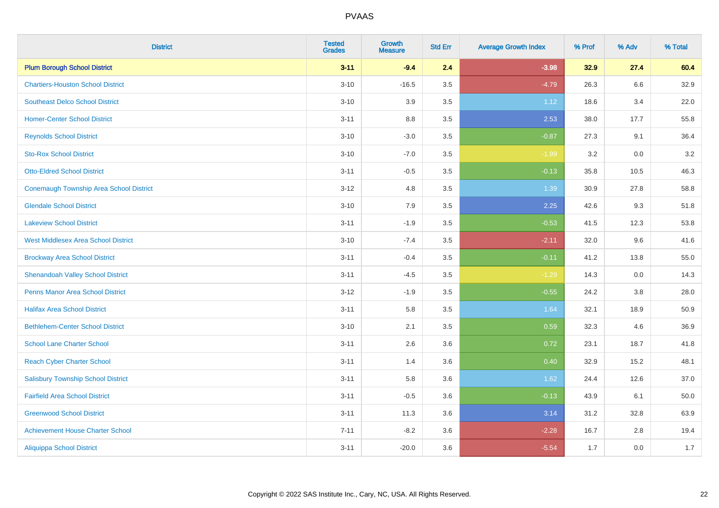| <b>District</b>                                | <b>Tested</b><br><b>Grades</b> | Growth<br><b>Measure</b> | <b>Std Err</b> | <b>Average Growth Index</b> | % Prof | % Adv   | % Total |
|------------------------------------------------|--------------------------------|--------------------------|----------------|-----------------------------|--------|---------|---------|
| <b>Plum Borough School District</b>            | $3 - 11$                       | $-9.4$                   | 2.4            | $-3.98$                     | 32.9   | 27.4    | 60.4    |
| <b>Chartiers-Houston School District</b>       | $3 - 10$                       | $-16.5$                  | 3.5            | $-4.79$                     | 26.3   | $6.6\,$ | 32.9    |
| <b>Southeast Delco School District</b>         | $3 - 10$                       | 3.9                      | 3.5            | 1.12                        | 18.6   | 3.4     | 22.0    |
| <b>Homer-Center School District</b>            | $3 - 11$                       | $8.8\,$                  | 3.5            | 2.53                        | 38.0   | 17.7    | 55.8    |
| <b>Reynolds School District</b>                | $3 - 10$                       | $-3.0$                   | 3.5            | $-0.87$                     | 27.3   | 9.1     | 36.4    |
| <b>Sto-Rox School District</b>                 | $3 - 10$                       | $-7.0$                   | 3.5            | $-1.99$                     | 3.2    | 0.0     | 3.2     |
| <b>Otto-Eldred School District</b>             | $3 - 11$                       | $-0.5$                   | 3.5            | $-0.13$                     | 35.8   | 10.5    | 46.3    |
| <b>Conemaugh Township Area School District</b> | $3 - 12$                       | 4.8                      | 3.5            | 1.39                        | 30.9   | 27.8    | 58.8    |
| <b>Glendale School District</b>                | $3 - 10$                       | 7.9                      | 3.5            | 2.25                        | 42.6   | 9.3     | 51.8    |
| <b>Lakeview School District</b>                | $3 - 11$                       | $-1.9$                   | 3.5            | $-0.53$                     | 41.5   | 12.3    | 53.8    |
| <b>West Middlesex Area School District</b>     | $3 - 10$                       | $-7.4$                   | 3.5            | $-2.11$                     | 32.0   | 9.6     | 41.6    |
| <b>Brockway Area School District</b>           | $3 - 11$                       | $-0.4$                   | 3.5            | $-0.11$                     | 41.2   | 13.8    | 55.0    |
| <b>Shenandoah Valley School District</b>       | $3 - 11$                       | $-4.5$                   | 3.5            | $-1.29$                     | 14.3   | 0.0     | 14.3    |
| Penns Manor Area School District               | $3 - 12$                       | $-1.9$                   | 3.5            | $-0.55$                     | 24.2   | $3.8\,$ | 28.0    |
| <b>Halifax Area School District</b>            | $3 - 11$                       | 5.8                      | 3.5            | 1.64                        | 32.1   | 18.9    | 50.9    |
| <b>Bethlehem-Center School District</b>        | $3 - 10$                       | 2.1                      | 3.5            | 0.59                        | 32.3   | 4.6     | 36.9    |
| <b>School Lane Charter School</b>              | $3 - 11$                       | 2.6                      | 3.6            | 0.72                        | 23.1   | 18.7    | 41.8    |
| <b>Reach Cyber Charter School</b>              | $3 - 11$                       | 1.4                      | 3.6            | 0.40                        | 32.9   | 15.2    | 48.1    |
| <b>Salisbury Township School District</b>      | $3 - 11$                       | 5.8                      | 3.6            | 1.62                        | 24.4   | 12.6    | 37.0    |
| <b>Fairfield Area School District</b>          | $3 - 11$                       | $-0.5$                   | 3.6            | $-0.13$                     | 43.9   | 6.1     | 50.0    |
| <b>Greenwood School District</b>               | $3 - 11$                       | 11.3                     | 3.6            | 3.14                        | 31.2   | 32.8    | 63.9    |
| <b>Achievement House Charter School</b>        | $7 - 11$                       | $-8.2$                   | 3.6            | $-2.28$                     | 16.7   | 2.8     | 19.4    |
| <b>Aliquippa School District</b>               | $3 - 11$                       | $-20.0$                  | 3.6            | $-5.54$                     | 1.7    | 0.0     | 1.7     |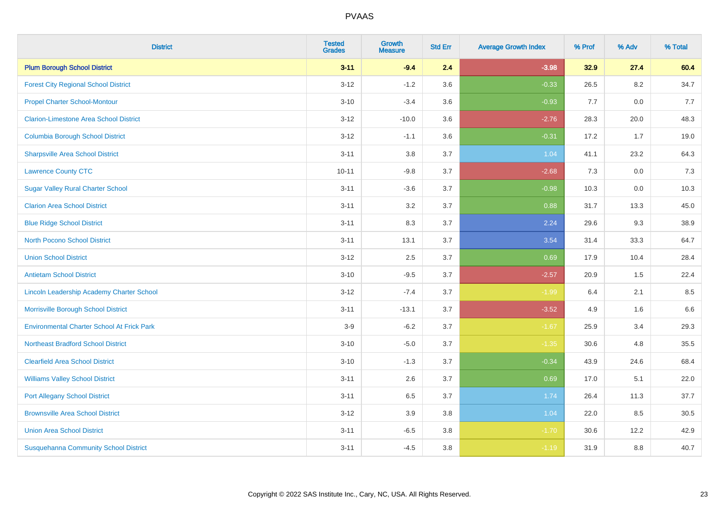| <b>District</b>                                   | <b>Tested</b><br><b>Grades</b> | Growth<br><b>Measure</b> | <b>Std Err</b> | <b>Average Growth Index</b> | % Prof | % Adv | % Total |
|---------------------------------------------------|--------------------------------|--------------------------|----------------|-----------------------------|--------|-------|---------|
| <b>Plum Borough School District</b>               | $3 - 11$                       | $-9.4$                   | 2.4            | $-3.98$                     | 32.9   | 27.4  | 60.4    |
| <b>Forest City Regional School District</b>       | $3 - 12$                       | $-1.2$                   | 3.6            | $-0.33$                     | 26.5   | 8.2   | 34.7    |
| <b>Propel Charter School-Montour</b>              | $3 - 10$                       | $-3.4$                   | 3.6            | $-0.93$                     | 7.7    | 0.0   | 7.7     |
| <b>Clarion-Limestone Area School District</b>     | $3 - 12$                       | $-10.0$                  | 3.6            | $-2.76$                     | 28.3   | 20.0  | 48.3    |
| <b>Columbia Borough School District</b>           | $3 - 12$                       | $-1.1$                   | 3.6            | $-0.31$                     | 17.2   | 1.7   | 19.0    |
| <b>Sharpsville Area School District</b>           | $3 - 11$                       | $3.8\,$                  | 3.7            | 1.04                        | 41.1   | 23.2  | 64.3    |
| <b>Lawrence County CTC</b>                        | $10 - 11$                      | $-9.8$                   | 3.7            | $-2.68$                     | 7.3    | 0.0   | $7.3$   |
| <b>Sugar Valley Rural Charter School</b>          | $3 - 11$                       | $-3.6$                   | 3.7            | $-0.98$                     | 10.3   | 0.0   | 10.3    |
| <b>Clarion Area School District</b>               | $3 - 11$                       | 3.2                      | 3.7            | 0.88                        | 31.7   | 13.3  | 45.0    |
| <b>Blue Ridge School District</b>                 | $3 - 11$                       | 8.3                      | 3.7            | 2.24                        | 29.6   | 9.3   | 38.9    |
| <b>North Pocono School District</b>               | $3 - 11$                       | 13.1                     | 3.7            | 3.54                        | 31.4   | 33.3  | 64.7    |
| <b>Union School District</b>                      | $3 - 12$                       | 2.5                      | 3.7            | 0.69                        | 17.9   | 10.4  | 28.4    |
| <b>Antietam School District</b>                   | $3 - 10$                       | $-9.5$                   | 3.7            | $-2.57$                     | 20.9   | 1.5   | 22.4    |
| Lincoln Leadership Academy Charter School         | $3 - 12$                       | $-7.4$                   | 3.7            | $-1.99$                     | 6.4    | 2.1   | 8.5     |
| Morrisville Borough School District               | $3 - 11$                       | $-13.1$                  | 3.7            | $-3.52$                     | 4.9    | 1.6   | 6.6     |
| <b>Environmental Charter School At Frick Park</b> | $3-9$                          | $-6.2$                   | 3.7            | $-1.67$                     | 25.9   | 3.4   | 29.3    |
| <b>Northeast Bradford School District</b>         | $3 - 10$                       | $-5.0$                   | 3.7            | $-1.35$                     | 30.6   | 4.8   | 35.5    |
| <b>Clearfield Area School District</b>            | $3 - 10$                       | $-1.3$                   | 3.7            | $-0.34$                     | 43.9   | 24.6  | 68.4    |
| <b>Williams Valley School District</b>            | $3 - 11$                       | 2.6                      | 3.7            | 0.69                        | 17.0   | 5.1   | 22.0    |
| <b>Port Allegany School District</b>              | $3 - 11$                       | 6.5                      | 3.7            | 1.74                        | 26.4   | 11.3  | 37.7    |
| <b>Brownsville Area School District</b>           | $3 - 12$                       | 3.9                      | 3.8            | 1.04                        | 22.0   | 8.5   | 30.5    |
| <b>Union Area School District</b>                 | $3 - 11$                       | $-6.5$                   | 3.8            | $-1.70$                     | 30.6   | 12.2  | 42.9    |
| <b>Susquehanna Community School District</b>      | $3 - 11$                       | $-4.5$                   | 3.8            | $-1.19$                     | 31.9   | 8.8   | 40.7    |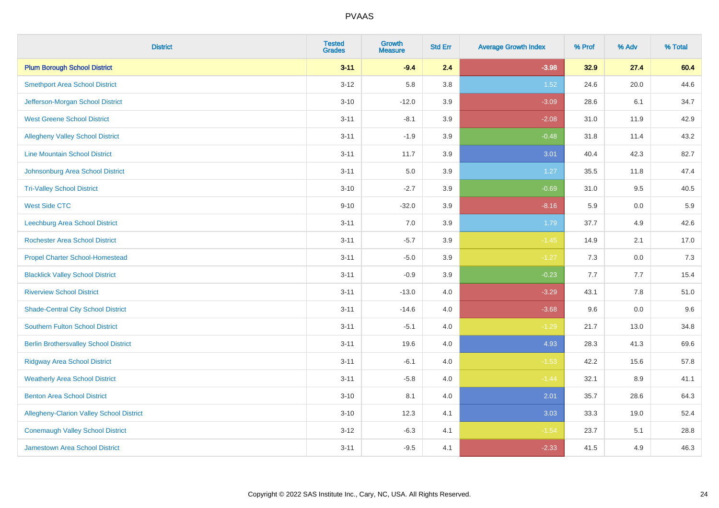| <b>District</b>                                 | <b>Tested</b><br><b>Grades</b> | <b>Growth</b><br><b>Measure</b> | <b>Std Err</b> | <b>Average Growth Index</b> | % Prof | % Adv | % Total |
|-------------------------------------------------|--------------------------------|---------------------------------|----------------|-----------------------------|--------|-------|---------|
| <b>Plum Borough School District</b>             | $3 - 11$                       | $-9.4$                          | 2.4            | $-3.98$                     | 32.9   | 27.4  | 60.4    |
| <b>Smethport Area School District</b>           | $3 - 12$                       | 5.8                             | 3.8            | 1.52                        | 24.6   | 20.0  | 44.6    |
| Jefferson-Morgan School District                | $3 - 10$                       | $-12.0$                         | 3.9            | $-3.09$                     | 28.6   | 6.1   | 34.7    |
| <b>West Greene School District</b>              | $3 - 11$                       | $-8.1$                          | 3.9            | $-2.08$                     | 31.0   | 11.9  | 42.9    |
| <b>Allegheny Valley School District</b>         | $3 - 11$                       | $-1.9$                          | 3.9            | $-0.48$                     | 31.8   | 11.4  | 43.2    |
| <b>Line Mountain School District</b>            | $3 - 11$                       | 11.7                            | 3.9            | 3.01                        | 40.4   | 42.3  | 82.7    |
| Johnsonburg Area School District                | $3 - 11$                       | 5.0                             | 3.9            | 1.27                        | 35.5   | 11.8  | 47.4    |
| <b>Tri-Valley School District</b>               | $3 - 10$                       | $-2.7$                          | 3.9            | $-0.69$                     | 31.0   | 9.5   | 40.5    |
| <b>West Side CTC</b>                            | $9 - 10$                       | $-32.0$                         | 3.9            | $-8.16$                     | 5.9    | 0.0   | 5.9     |
| <b>Leechburg Area School District</b>           | $3 - 11$                       | 7.0                             | 3.9            | 1.79                        | 37.7   | 4.9   | 42.6    |
| <b>Rochester Area School District</b>           | $3 - 11$                       | $-5.7$                          | 3.9            | $-1.45$                     | 14.9   | 2.1   | 17.0    |
| <b>Propel Charter School-Homestead</b>          | $3 - 11$                       | $-5.0$                          | 3.9            | $-1.27$                     | 7.3    | 0.0   | 7.3     |
| <b>Blacklick Valley School District</b>         | $3 - 11$                       | $-0.9$                          | 3.9            | $-0.23$                     | 7.7    | 7.7   | 15.4    |
| <b>Riverview School District</b>                | $3 - 11$                       | $-13.0$                         | 4.0            | $-3.29$                     | 43.1   | 7.8   | 51.0    |
| <b>Shade-Central City School District</b>       | $3 - 11$                       | $-14.6$                         | 4.0            | $-3.68$                     | 9.6    | 0.0   | 9.6     |
| <b>Southern Fulton School District</b>          | $3 - 11$                       | $-5.1$                          | 4.0            | $-1.29$                     | 21.7   | 13.0  | 34.8    |
| <b>Berlin Brothersvalley School District</b>    | $3 - 11$                       | 19.6                            | 4.0            | 4.93                        | 28.3   | 41.3  | 69.6    |
| <b>Ridgway Area School District</b>             | $3 - 11$                       | $-6.1$                          | 4.0            | $-1.53$                     | 42.2   | 15.6  | 57.8    |
| <b>Weatherly Area School District</b>           | $3 - 11$                       | $-5.8$                          | 4.0            | $-1.44$                     | 32.1   | 8.9   | 41.1    |
| <b>Benton Area School District</b>              | $3 - 10$                       | 8.1                             | 4.0            | 2.01                        | 35.7   | 28.6  | 64.3    |
| <b>Allegheny-Clarion Valley School District</b> | $3 - 10$                       | 12.3                            | 4.1            | 3.03                        | 33.3   | 19.0  | 52.4    |
| <b>Conemaugh Valley School District</b>         | $3 - 12$                       | $-6.3$                          | 4.1            | $-1.54$                     | 23.7   | 5.1   | 28.8    |
| Jamestown Area School District                  | $3 - 11$                       | $-9.5$                          | 4.1            | $-2.33$                     | 41.5   | 4.9   | 46.3    |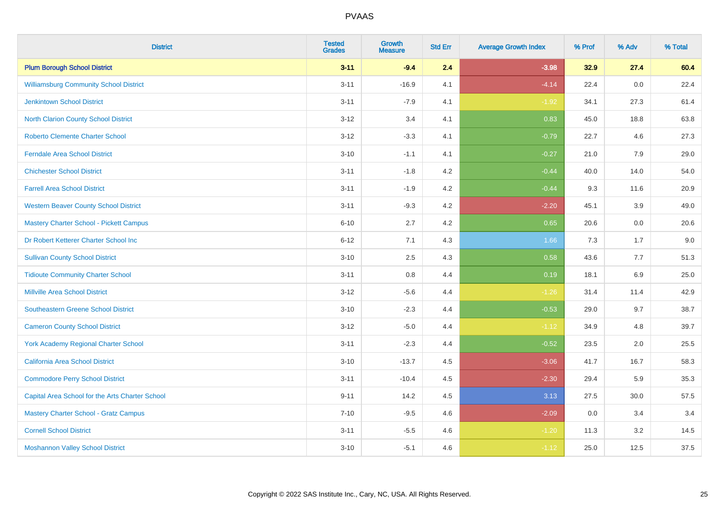| <b>District</b>                                 | <b>Tested</b><br><b>Grades</b> | Growth<br><b>Measure</b> | <b>Std Err</b> | <b>Average Growth Index</b> | % Prof | % Adv | % Total |
|-------------------------------------------------|--------------------------------|--------------------------|----------------|-----------------------------|--------|-------|---------|
| <b>Plum Borough School District</b>             | $3 - 11$                       | $-9.4$                   | 2.4            | $-3.98$                     | 32.9   | 27.4  | 60.4    |
| <b>Williamsburg Community School District</b>   | $3 - 11$                       | $-16.9$                  | 4.1            | $-4.14$                     | 22.4   | 0.0   | 22.4    |
| <b>Jenkintown School District</b>               | $3 - 11$                       | $-7.9$                   | 4.1            | $-1.92$                     | 34.1   | 27.3  | 61.4    |
| North Clarion County School District            | $3 - 12$                       | 3.4                      | 4.1            | 0.83                        | 45.0   | 18.8  | 63.8    |
| <b>Roberto Clemente Charter School</b>          | $3 - 12$                       | $-3.3$                   | 4.1            | $-0.79$                     | 22.7   | 4.6   | 27.3    |
| <b>Ferndale Area School District</b>            | $3 - 10$                       | $-1.1$                   | 4.1            | $-0.27$                     | 21.0   | 7.9   | 29.0    |
| <b>Chichester School District</b>               | $3 - 11$                       | $-1.8$                   | 4.2            | $-0.44$                     | 40.0   | 14.0  | 54.0    |
| <b>Farrell Area School District</b>             | $3 - 11$                       | $-1.9$                   | 4.2            | $-0.44$                     | 9.3    | 11.6  | 20.9    |
| <b>Western Beaver County School District</b>    | $3 - 11$                       | $-9.3$                   | 4.2            | $-2.20$                     | 45.1   | 3.9   | 49.0    |
| <b>Mastery Charter School - Pickett Campus</b>  | $6 - 10$                       | 2.7                      | 4.2            | 0.65                        | 20.6   | 0.0   | 20.6    |
| Dr Robert Ketterer Charter School Inc           | $6 - 12$                       | 7.1                      | 4.3            | 1.66                        | 7.3    | 1.7   | 9.0     |
| <b>Sullivan County School District</b>          | $3 - 10$                       | 2.5                      | 4.3            | 0.58                        | 43.6   | 7.7   | 51.3    |
| <b>Tidioute Community Charter School</b>        | $3 - 11$                       | 0.8                      | 4.4            | 0.19                        | 18.1   | 6.9   | 25.0    |
| <b>Millville Area School District</b>           | $3 - 12$                       | $-5.6$                   | 4.4            | $-1.26$                     | 31.4   | 11.4  | 42.9    |
| <b>Southeastern Greene School District</b>      | $3 - 10$                       | $-2.3$                   | 4.4            | $-0.53$                     | 29.0   | 9.7   | 38.7    |
| <b>Cameron County School District</b>           | $3 - 12$                       | $-5.0$                   | 4.4            | $-1.12$                     | 34.9   | 4.8   | 39.7    |
| <b>York Academy Regional Charter School</b>     | $3 - 11$                       | $-2.3$                   | 4.4            | $-0.52$                     | 23.5   | 2.0   | 25.5    |
| California Area School District                 | $3 - 10$                       | $-13.7$                  | 4.5            | $-3.06$                     | 41.7   | 16.7  | 58.3    |
| <b>Commodore Perry School District</b>          | $3 - 11$                       | $-10.4$                  | 4.5            | $-2.30$                     | 29.4   | 5.9   | 35.3    |
| Capital Area School for the Arts Charter School | $9 - 11$                       | 14.2                     | 4.5            | 3.13                        | 27.5   | 30.0  | 57.5    |
| <b>Mastery Charter School - Gratz Campus</b>    | $7 - 10$                       | $-9.5$                   | 4.6            | $-2.09$                     | 0.0    | 3.4   | 3.4     |
| <b>Cornell School District</b>                  | $3 - 11$                       | $-5.5$                   | 4.6            | $-1.20$                     | 11.3   | 3.2   | 14.5    |
| <b>Moshannon Valley School District</b>         | $3 - 10$                       | $-5.1$                   | 4.6            | $-1.12$                     | 25.0   | 12.5  | 37.5    |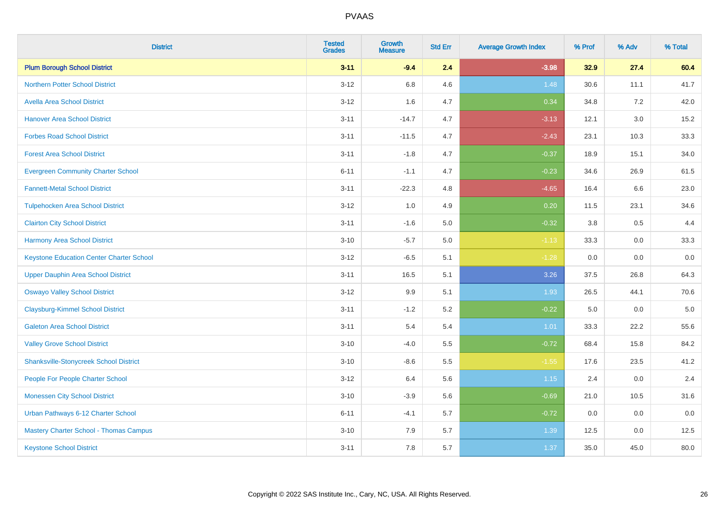| <b>District</b>                                 | <b>Tested</b><br><b>Grades</b> | Growth<br><b>Measure</b> | <b>Std Err</b> | <b>Average Growth Index</b> | % Prof | % Adv   | % Total |
|-------------------------------------------------|--------------------------------|--------------------------|----------------|-----------------------------|--------|---------|---------|
| <b>Plum Borough School District</b>             | $3 - 11$                       | $-9.4$                   | 2.4            | $-3.98$                     | 32.9   | 27.4    | 60.4    |
| Northern Potter School District                 | $3 - 12$                       | 6.8                      | 4.6            | 1.48                        | 30.6   | 11.1    | 41.7    |
| <b>Avella Area School District</b>              | $3 - 12$                       | 1.6                      | 4.7            | 0.34                        | 34.8   | 7.2     | 42.0    |
| <b>Hanover Area School District</b>             | $3 - 11$                       | $-14.7$                  | 4.7            | $-3.13$                     | 12.1   | 3.0     | 15.2    |
| <b>Forbes Road School District</b>              | $3 - 11$                       | $-11.5$                  | 4.7            | $-2.43$                     | 23.1   | 10.3    | 33.3    |
| <b>Forest Area School District</b>              | $3 - 11$                       | $-1.8$                   | 4.7            | $-0.37$                     | 18.9   | 15.1    | 34.0    |
| <b>Evergreen Community Charter School</b>       | $6 - 11$                       | $-1.1$                   | 4.7            | $-0.23$                     | 34.6   | 26.9    | 61.5    |
| <b>Fannett-Metal School District</b>            | $3 - 11$                       | $-22.3$                  | 4.8            | $-4.65$                     | 16.4   | 6.6     | 23.0    |
| <b>Tulpehocken Area School District</b>         | $3 - 12$                       | 1.0                      | 4.9            | 0.20                        | 11.5   | 23.1    | 34.6    |
| <b>Clairton City School District</b>            | $3 - 11$                       | $-1.6$                   | 5.0            | $-0.32$                     | 3.8    | 0.5     | 4.4     |
| <b>Harmony Area School District</b>             | $3 - 10$                       | $-5.7$                   | 5.0            | $-1.13$                     | 33.3   | 0.0     | 33.3    |
| <b>Keystone Education Center Charter School</b> | $3-12$                         | $-6.5$                   | 5.1            | $-1.28$                     | 0.0    | 0.0     | 0.0     |
| <b>Upper Dauphin Area School District</b>       | $3 - 11$                       | 16.5                     | 5.1            | 3.26                        | 37.5   | 26.8    | 64.3    |
| <b>Oswayo Valley School District</b>            | $3 - 12$                       | 9.9                      | 5.1            | 1.93                        | 26.5   | 44.1    | 70.6    |
| <b>Claysburg-Kimmel School District</b>         | $3 - 11$                       | $-1.2$                   | 5.2            | $-0.22$                     | 5.0    | 0.0     | $5.0$   |
| <b>Galeton Area School District</b>             | $3 - 11$                       | 5.4                      | 5.4            | 1.01                        | 33.3   | 22.2    | 55.6    |
| <b>Valley Grove School District</b>             | $3 - 10$                       | $-4.0$                   | 5.5            | $-0.72$                     | 68.4   | 15.8    | 84.2    |
| <b>Shanksville-Stonycreek School District</b>   | $3 - 10$                       | $-8.6$                   | 5.5            | $-1.55$                     | 17.6   | 23.5    | 41.2    |
| People For People Charter School                | $3-12$                         | 6.4                      | 5.6            | 1.15                        | 2.4    | $0.0\,$ | 2.4     |
| <b>Monessen City School District</b>            | $3 - 10$                       | $-3.9$                   | 5.6            | $-0.69$                     | 21.0   | 10.5    | 31.6    |
| Urban Pathways 6-12 Charter School              | $6 - 11$                       | $-4.1$                   | 5.7            | $-0.72$                     | 0.0    | 0.0     | 0.0     |
| Mastery Charter School - Thomas Campus          | $3 - 10$                       | 7.9                      | 5.7            | 1.39                        | 12.5   | $0.0\,$ | 12.5    |
| <b>Keystone School District</b>                 | $3 - 11$                       | 7.8                      | 5.7            | 1.37                        | 35.0   | 45.0    | 80.0    |